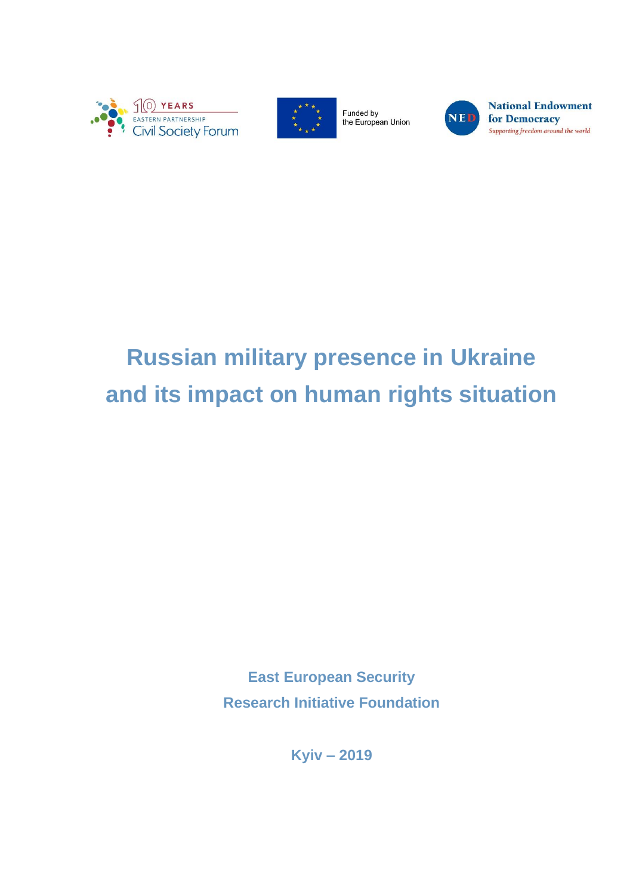



Funded by the European Union



**National Endowment** for Democracy Supporting freedom around the world

# **Russian military presence in Ukraine and its impact on human rights situation**

**East European Security Research Initiative Foundation**

**Kyiv – 2019**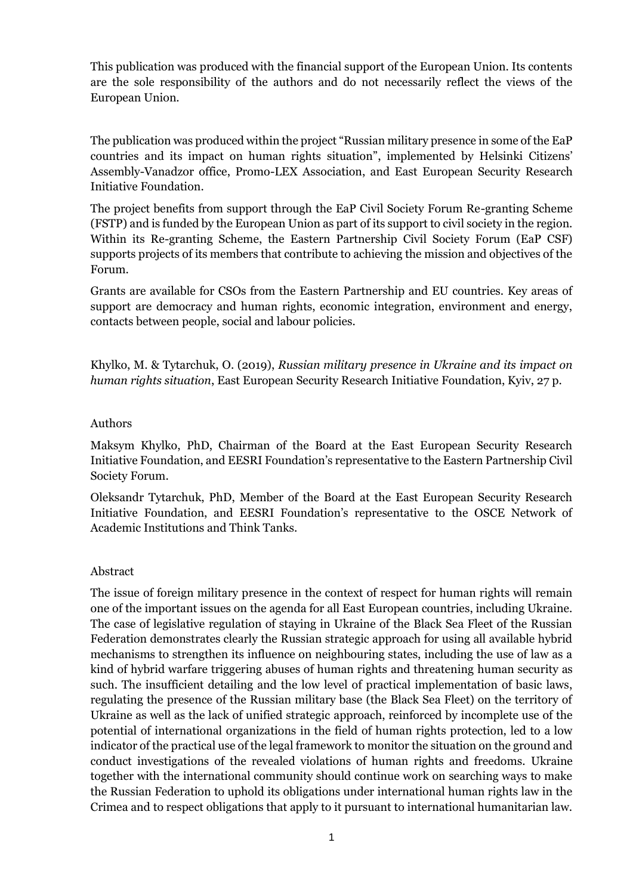This publication was produced with the financial support of the European Union. Its contents are the sole responsibility of the authors and do not necessarily reflect the views of the European Union.

The publication was produced within the project "Russian military presence in some of the EaP countries and its impact on human rights situation", implemented by Helsinki Citizens' Assembly-Vanadzor office, Promo-LEX Association, and East European Security Research Initiative Foundation.

The project benefits from support through the EaP Civil Society Forum Re-granting Scheme (FSTP) and is funded by the European Union as part of its support to civil society in the region. Within its Re-granting Scheme, the Eastern Partnership Civil Society Forum (EaP CSF) supports projects of its members that contribute to achieving the mission and objectives of the Forum.

Grants are available for CSOs from the Eastern Partnership and EU countries. Key areas of support are democracy and human rights, economic integration, environment and energy, contacts between people, social and labour policies.

Khylko, M. & Tytarchuk, O. (2019), *Russian military presence in Ukraine and its impact on human rights situation*, East European Security Research Initiative Foundation, Kyiv, 27 p.

#### Authors

Maksym Khylko, PhD, Chairman of the Board at the East European Security Research Initiative Foundation, and EESRI Foundation's representative to the Eastern Partnership Civil Society Forum.

Oleksandr Tytarchuk, PhD, Member of the Board at the East European Security Research Initiative Foundation, and EESRI Foundation's representative to the OSCE Network of Academic Institutions and Think Tanks.

#### Abstract

The issue of foreign military presence in the context of respect for human rights will remain one of the important issues on the agenda for all East European countries, including Ukraine. The case of legislative regulation of staying in Ukraine of the Black Sea Fleet of the Russian Federation demonstrates clearly the Russian strategic approach for using all available hybrid mechanisms to strengthen its influence on neighbouring states, including the use of law as a kind of hybrid warfare triggering abuses of human rights and threatening human security as such. The insufficient detailing and the low level of practical implementation of basic laws, regulating the presence of the Russian military base (the Black Sea Fleet) on the territory of Ukraine as well as the lack of unified strategic approach, reinforced by incomplete use of the potential of international organizations in the field of human rights protection, led to a low indicator of the practical use of the legal framework to monitor the situation on the ground and conduct investigations of the revealed violations of human rights and freedoms. Ukraine together with the international community should continue work on searching ways to make the Russian Federation to uphold its obligations under international human rights law in the Crimea and to respect obligations that apply to it pursuant to international humanitarian law.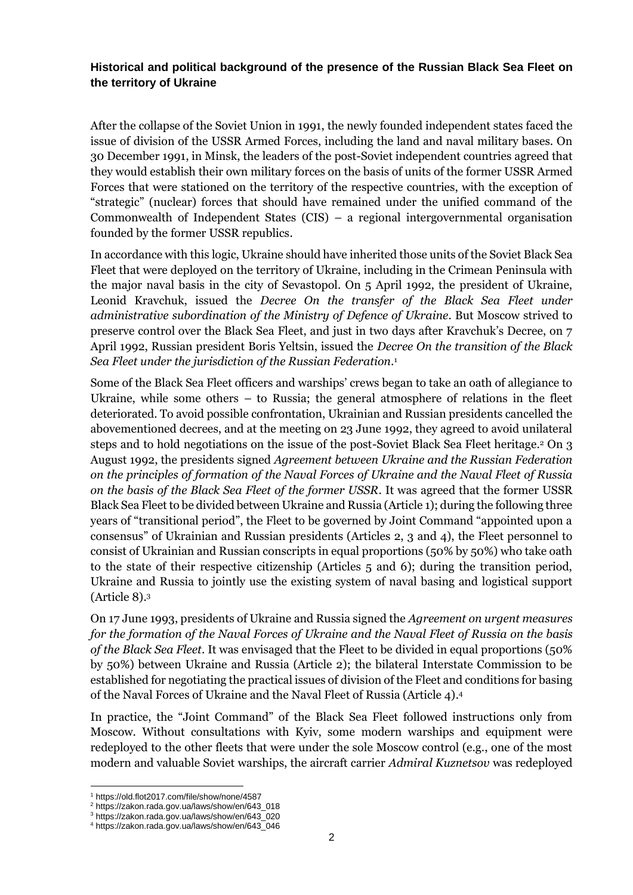#### **Historical and political background of the presence of the Russian Black Sea Fleet on the territory of Ukraine**

After the collapse of the Soviet Union in 1991, the newly founded independent states faced the issue of division of the USSR Armed Forces, including the land and naval military bases. On 30 December 1991, in Minsk, the leaders of the post-Soviet independent countries agreed that they would establish their own military forces on the basis of units of the former USSR Armed Forces that were stationed on the territory of the respective countries, with the exception of "strategic" (nuclear) forces that should have remained under the unified command of the Commonwealth of Independent States (CIS) – a regional intergovernmental organisation founded by the former USSR republics.

In accordance with this logic, Ukraine should have inherited those units of the Soviet Black Sea Fleet that were deployed on the territory of Ukraine, including in the Crimean Peninsula with the major naval basis in the city of Sevastopol. On 5 April 1992, the president of Ukraine, Leonid Kravchuk, issued the *Decree On the transfer of the Black Sea Fleet under administrative subordination of the Ministry of Defence of Ukraine*. But Moscow strived to preserve control over the Black Sea Fleet, and just in two days after Kravchuk's Decree, on 7 April 1992, Russian president Boris Yeltsin, issued the *Decree On the transition of the Black Sea Fleet under the jurisdiction of the Russian Federation*. 1

Some of the Black Sea Fleet officers and warships' crews began to take an oath of allegiance to Ukraine, while some others – to Russia; the general atmosphere of relations in the fleet deteriorated. To avoid possible confrontation, Ukrainian and Russian presidents cancelled the abovementioned decrees, and at the meeting on 23 June 1992, they agreed to avoid unilateral steps and to hold negotiations on the issue of the post-Soviet Black Sea Fleet heritage. <sup>2</sup> On 3 August 1992, the presidents signed *Agreement between Ukraine and the Russian Federation on the principles of formation of the Naval Forces of Ukraine and the Naval Fleet of Russia on the basis of the Black Sea Fleet of the former USSR*. It was agreed that the former USSR Black Sea Fleet to be divided between Ukraine and Russia (Article 1); during the following three years of "transitional period", the Fleet to be governed by Joint Command "appointed upon a consensus" of Ukrainian and Russian presidents (Articles 2, 3 and 4), the Fleet personnel to consist of Ukrainian and Russian conscripts in equal proportions (50% by 50%) who take oath to the state of their respective citizenship (Articles 5 and 6); during the transition period, Ukraine and Russia to jointly use the existing system of naval basing and logistical support (Article 8). 3

On 17 June 1993, presidents of Ukraine and Russia signed the *Agreement on urgent measures for the formation of the Naval Forces of Ukraine and the Naval Fleet of Russia on the basis of the Black Sea Fleet*. It was envisaged that the Fleet to be divided in equal proportions (50% by 50%) between Ukraine and Russia (Article 2); the bilateral Interstate Commission to be established for negotiating the practical issues of division of the Fleet and conditions for basing of the Naval Forces of Ukraine and the Naval Fleet of Russia (Article 4). 4

In practice, the "Joint Command" of the Black Sea Fleet followed instructions only from Moscow. Without consultations with Kyiv, some modern warships and equipment were redeployed to the other fleets that were under the sole Moscow control (e.g., one of the most modern and valuable Soviet warships, the aircraft carrier *Admiral Kuznetsov* was redeployed

<sup>1</sup> <https://old.flot2017.com/file/show/none/4587>

<sup>2</sup> [https://zakon.rada.gov.ua/laws/show/en/643\\_018](https://zakon.rada.gov.ua/laws/show/en/643_018)

<sup>3</sup> [https://zakon.rada.gov.ua/laws/show/en/643\\_020](https://zakon.rada.gov.ua/laws/show/en/643_020)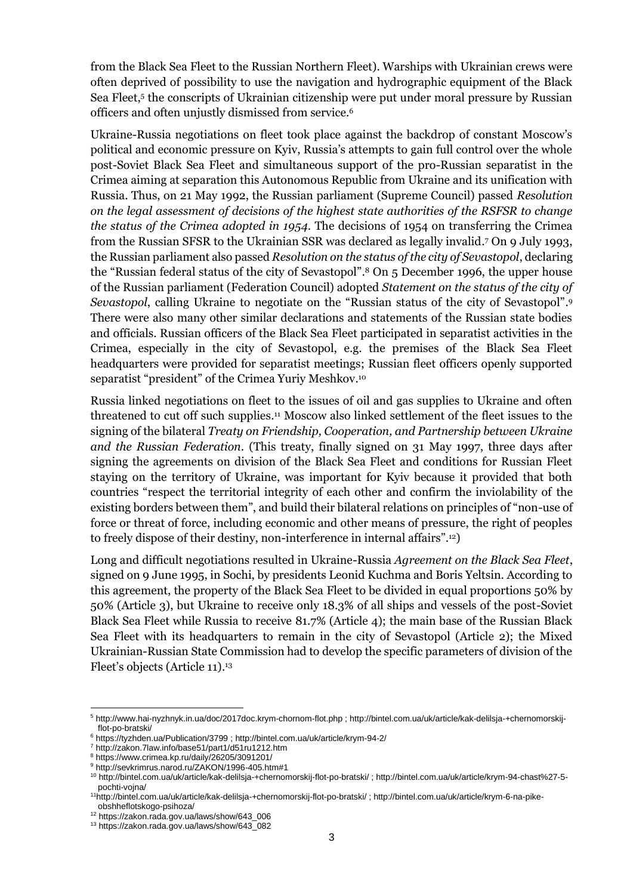from the Black Sea Fleet to the Russian Northern Fleet). Warships with Ukrainian crews were often deprived of possibility to use the navigation and hydrographic equipment of the Black Sea Fleet, 5 the conscripts of Ukrainian citizenship were put under moral pressure by Russian officers and often unjustly dismissed from service. 6

Ukraine-Russia negotiations on fleet took place against the backdrop of constant Moscow's political and economic pressure on Kyiv, Russia's attempts to gain full control over the whole post-Soviet Black Sea Fleet and simultaneous support of the pro-Russian separatist in the Crimea aiming at separation this Autonomous Republic from Ukraine and its unification with Russia. Thus, on 21 May 1992, the Russian parliament (Supreme Council) passed *Resolution on the legal assessment of decisions of the highest state authorities of the RSFSR to change the status of the Crimea adopted in 1954*. The decisions of 1954 on transferring the Crimea from the Russian SFSR to the Ukrainian SSR was declared as legally invalid. <sup>7</sup> On 9 July 1993, the Russian parliament also passed *Resolution on the status of the city of Sevastopol*, declaring the "Russian federal status of the city of Sevastopol". <sup>8</sup> On 5 December 1996, the upper house of the Russian parliament (Federation Council) adopted *Statement on the status of the city of Sevastopol*, calling Ukraine to negotiate on the "Russian status of the city of Sevastopol". 9 There were also many other similar declarations and statements of the Russian state bodies and officials. Russian officers of the Black Sea Fleet participated in separatist activities in the Crimea, especially in the city of Sevastopol, e.g. the premises of the Black Sea Fleet headquarters were provided for separatist meetings; Russian fleet officers openly supported separatist "president" of the Crimea Yuriy Meshkov. 10

Russia linked negotiations on fleet to the issues of oil and gas supplies to Ukraine and often threatened to cut off such supplies. <sup>11</sup> Moscow also linked settlement of the fleet issues to the signing of the bilateral *Treaty on Friendship, Cooperation, and Partnership between Ukraine and the Russian Federation*. (This treaty, finally signed on 31 May 1997, three days after signing the agreements on division of the Black Sea Fleet and conditions for Russian Fleet staying on the territory of Ukraine, was important for Kyiv because it provided that both countries "respect the territorial integrity of each other and confirm the inviolability of the existing borders between them", and build their bilateral relations on principles of "non-use of force or threat of force, including economic and other means of pressure, the right of peoples to freely dispose of their destiny, non-interference in internal affairs". 12)

Long and difficult negotiations resulted in Ukraine-Russia *Agreement on the Black Sea Fleet*, signed on 9 June 1995, in Sochi, by presidents Leonid Kuchma and Boris Yeltsin. According to this agreement, the property of the Black Sea Fleet to be divided in equal proportions 50% by 50% (Article 3), but Ukraine to receive only 18.3% of all ships and vessels of the post-Soviet Black Sea Fleet while Russia to receive 81.7% (Article 4); the main base of the Russian Black Sea Fleet with its headquarters to remain in the city of Sevastopol (Article 2); the Mixed Ukrainian-Russian State Commission had to develop the specific parameters of division of the Fleet's objects (Article 11). 13

<sup>5</sup> <http://www.hai-nyzhnyk.in.ua/doc/2017doc.krym-chornom-flot.php> ; [http://bintel.com.ua/uk/article/kak-delilsja-+chernomorskij](http://bintel.com.ua/uk/article/kak-delilsja-+chernomorskij-flot-po-bratski/)[flot-po-bratski/](http://bintel.com.ua/uk/article/kak-delilsja-+chernomorskij-flot-po-bratski/)

<sup>6</sup> <https://tyzhden.ua/Publication/3799> [; http://bintel.com.ua/uk/article/krym-94-2/](http://bintel.com.ua/uk/article/krym-94-2/)

<sup>7</sup> <http://zakon.7law.info/base51/part1/d51ru1212.htm>

<sup>8</sup> <https://www.crimea.kp.ru/daily/26205/3091201/>

<sup>9</sup> <http://sevkrimrus.narod.ru/ZAKON/1996-405.htm#1>

<sup>10</sup> <http://bintel.com.ua/uk/article/kak-delilsja-+chernomorskij-flot-po-bratski/> [; http://bintel.com.ua/uk/article/krym-94-chast%27-5](http://bintel.com.ua/uk/article/krym-94-chast%27-5-pochti-vojna/) [pochti-vojna/](http://bintel.com.ua/uk/article/krym-94-chast%27-5-pochti-vojna/)

<sup>11</sup><http://bintel.com.ua/uk/article/kak-delilsja-+chernomorskij-flot-po-bratski/> [; http://bintel.com.ua/uk/article/krym-6-na-pike](http://bintel.com.ua/uk/article/krym-6-na-pike-obshheflotskogo-psihoza/)[obshheflotskogo-psihoza/](http://bintel.com.ua/uk/article/krym-6-na-pike-obshheflotskogo-psihoza/)

<sup>12</sup> [https://zakon.rada.gov.ua/laws/show/643\\_006](https://zakon.rada.gov.ua/laws/show/643_006)

<sup>13</sup> [https://zakon.rada.gov.ua/laws/show/643\\_082](https://zakon.rada.gov.ua/laws/show/643_082)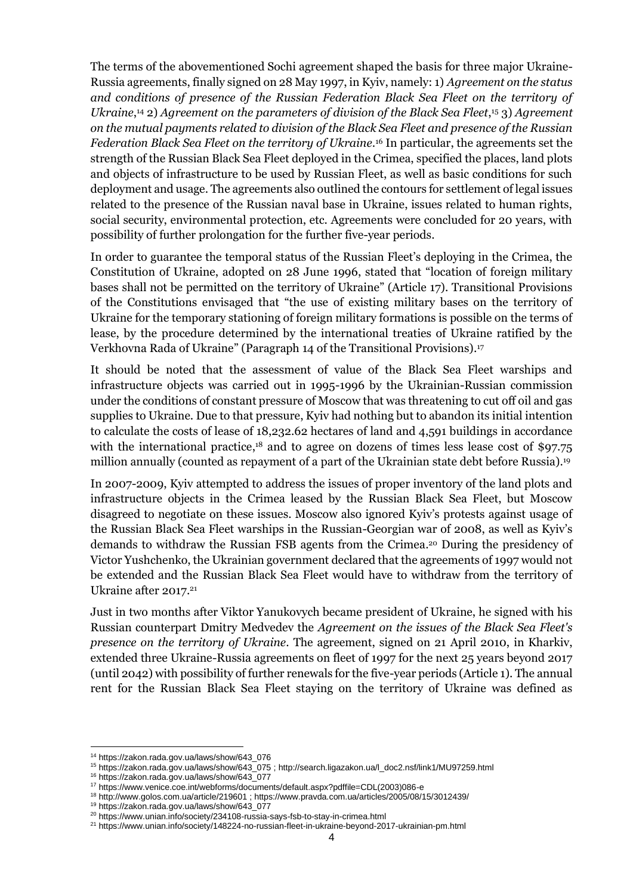The terms of the abovementioned Sochi agreement shaped the basis for three major Ukraine-Russia agreements, finally signed on 28 May 1997, in Kyiv, namely: 1) *Agreement on the status and conditions of presence of the Russian Federation Black Sea Fleet on the territory of Ukraine*, <sup>14</sup> 2) *Agreement on the parameters of division of the Black Sea Fleet*, <sup>15</sup> 3) *Agreement on the mutual payments related to division of the Black Sea Fleet and presence of the Russian Federation Black Sea Fleet on the territory of Ukraine*. <sup>16</sup> In particular, the agreements set the strength of the Russian Black Sea Fleet deployed in the Crimea, specified the places, land plots and objects of infrastructure to be used by Russian Fleet, as well as basic conditions for such deployment and usage. The agreements also outlined the contours for settlement of legal issues related to the presence of the Russian naval base in Ukraine, issues related to human rights, social security, environmental protection, etc. Agreements were concluded for 20 years, with possibility of further prolongation for the further five-year periods.

In order to guarantee the temporal status of the Russian Fleet's deploying in the Crimea, the Constitution of Ukraine, adopted on 28 June 1996, stated that "location of foreign military bases shall not be permitted on the territory of Ukraine" (Article 17). Transitional Provisions of the Constitutions envisaged that "the use of existing military bases on the territory of Ukraine for the temporary stationing of foreign military formations is possible on the terms of lease, by the procedure determined by the international treaties of Ukraine ratified by the Verkhovna Rada of Ukraine" (Paragraph 14 of the Transitional Provisions). 17

It should be noted that the assessment of value of the Black Sea Fleet warships and infrastructure objects was carried out in 1995-1996 by the Ukrainian-Russian commission under the conditions of constant pressure of Moscow that was threatening to cut off oil and gas supplies to Ukraine. Due to that pressure, Kyiv had nothing but to abandon its initial intention to calculate the costs of lease of 18,232.62 hectares of land and 4,591 buildings in accordance with the international practice,<sup>18</sup> and to agree on dozens of times less lease cost of \$97.75 million annually (counted as repayment of a part of the Ukrainian state debt before Russia). 19

In 2007-2009, Kyiv attempted to address the issues of proper inventory of the land plots and infrastructure objects in the Crimea leased by the Russian Black Sea Fleet, but Moscow disagreed to negotiate on these issues. Moscow also ignored Kyiv's protests against usage of the Russian Black Sea Fleet warships in the Russian-Georgian war of 2008, as well as Kyiv's demands to withdraw the Russian FSB agents from the Crimea. <sup>20</sup> During the presidency of Victor Yushchenko, the Ukrainian government declared that the agreements of 1997 would not be extended and the Russian Black Sea Fleet would have to withdraw from the territory of Ukraine after 2017. 21

Just in two months after Viktor Yanukovych became president of Ukraine, he signed with his Russian counterpart Dmitry Medvedev the *Agreement on the issues of the Black Sea Fleet's presence on the territory of Ukraine*. The agreement, signed on 21 April 2010, in Kharkiv, extended three Ukraine-Russia agreements on fleet of 1997 for the next 25 years beyond 2017 (until 2042) with possibility of further renewals for the five-year periods (Article 1). The annual rent for the Russian Black Sea Fleet staying on the territory of Ukraine was defined as

<sup>14</sup> [https://zakon.rada.gov.ua/laws/show/643\\_076](https://zakon.rada.gov.ua/laws/show/643_076)

<sup>15</sup> [https://zakon.rada.gov.ua/laws/show/643\\_075](https://zakon.rada.gov.ua/laws/show/643_075) ; [http://search.ligazakon.ua/l\\_doc2.nsf/link1/MU97259.html](http://search.ligazakon.ua/l_doc2.nsf/link1/MU97259.html)

<sup>16</sup> [https://zakon.rada.gov.ua/laws/show/643\\_077](https://zakon.rada.gov.ua/laws/show/643_077)

<sup>17</sup> [https://www.venice.coe.int/webforms/documents/default.aspx?pdffile=CDL\(2003\)086-e](https://www.venice.coe.int/webforms/documents/default.aspx?pdffile=CDL(2003)086-e)

<sup>18</sup> <http://www.golos.com.ua/article/219601> [; https://www.pravda.com.ua/articles/2005/08/15/3012439/](https://www.pravda.com.ua/articles/2005/08/15/3012439/)

<sup>19</sup> [https://zakon.rada.gov.ua/laws/show/643\\_077](https://zakon.rada.gov.ua/laws/show/643_077)

<sup>20</sup> <https://www.unian.info/society/234108-russia-says-fsb-to-stay-in-crimea.html>

<sup>&</sup>lt;sup>21</sup> <https://www.unian.info/society/148224-no-russian-fleet-in-ukraine-beyond-2017-ukrainian-pm.html>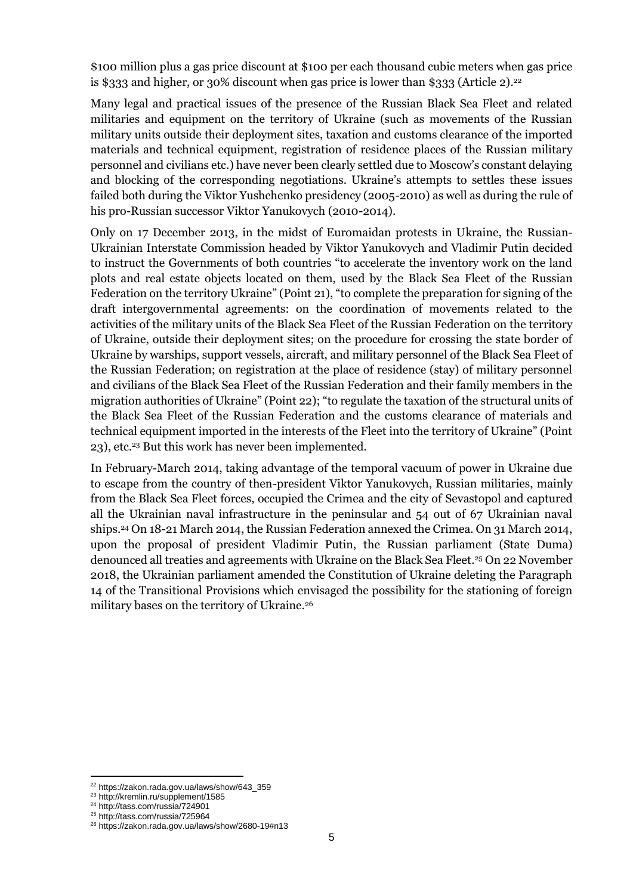\$100 million plus a gas price discount at \$100 per each thousand cubic meters when gas price is \$333 and higher, or 30% discount when gas price is lower than \$333 (Article 2). 22

Many legal and practical issues of the presence of the Russian Black Sea Fleet and related militaries and equipment on the territory of Ukraine (such as movements of the Russian military units outside their deployment sites, taxation and customs clearance of the imported materials and technical equipment, registration of residence places of the Russian military personnel and civilians etc.) have never been clearly settled due to Moscow's constant delaying and blocking of the corresponding negotiations. Ukraine's attempts to settles these issues failed both during the Viktor Yushchenko presidency (2005-2010) as well as during the rule of his pro-Russian successor Viktor Yanukovych (2010-2014).

Only on 17 December 2013, in the midst of Euromaidan protests in Ukraine, the Russian-Ukrainian Interstate Commission headed by Viktor Yanukovych and Vladimir Putin decided to instruct the Governments of both countries "to accelerate the inventory work on the land plots and real estate objects located on them, used by the Black Sea Fleet of the Russian Federation on the territory Ukraine" (Point 21), "to complete the preparation for signing of the draft intergovernmental agreements: on the coordination of movements related to the activities of the military units of the Black Sea Fleet of the Russian Federation on the territory of Ukraine, outside their deployment sites; on the procedure for crossing the state border of Ukraine by warships, support vessels, aircraft, and military personnel of the Black Sea Fleet of the Russian Federation; on registration at the place of residence (stay) of military personnel and civilians of the Black Sea Fleet of the Russian Federation and their family members in the migration authorities of Ukraine" (Point 22); "to regulate the taxation of the structural units of the Black Sea Fleet of the Russian Federation and the customs clearance of materials and technical equipment imported in the interests of the Fleet into the territory of Ukraine" (Point 23), etc.<sup>23</sup> But this work has never been implemented.

In February-March 2014, taking advantage of the temporal vacuum of power in Ukraine due to escape from the country of then-president Viktor Yanukovych, Russian militaries, mainly from the Black Sea Fleet forces, occupied the Crimea and the city of Sevastopol and captured all the Ukrainian naval infrastructure in the peninsular and 54 out of 67 Ukrainian naval ships. <sup>24</sup> On 18-21 March 2014, the Russian Federation annexed the Crimea. On 31 March 2014, upon the proposal of president Vladimir Putin, the Russian parliament (State Duma) denounced all treaties and agreements with Ukraine on the Black Sea Fleet. <sup>25</sup> On 22 November 2018, the Ukrainian parliament amended the Constitution of Ukraine deleting the Paragraph 14 of the Transitional Provisions which envisaged the possibility for the stationing of foreign military bases on the territory of Ukraine.<sup>26</sup>

<sup>22</sup> [https://zakon.rada.gov.ua/laws/show/643\\_359](https://zakon.rada.gov.ua/laws/show/643_359)

<sup>23</sup> <http://kremlin.ru/supplement/1585>

<sup>24</sup> <http://tass.com/russia/724901>

<sup>25</sup> <http://tass.com/russia/725964>

<sup>26</sup> <https://zakon.rada.gov.ua/laws/show/2680-19#n13>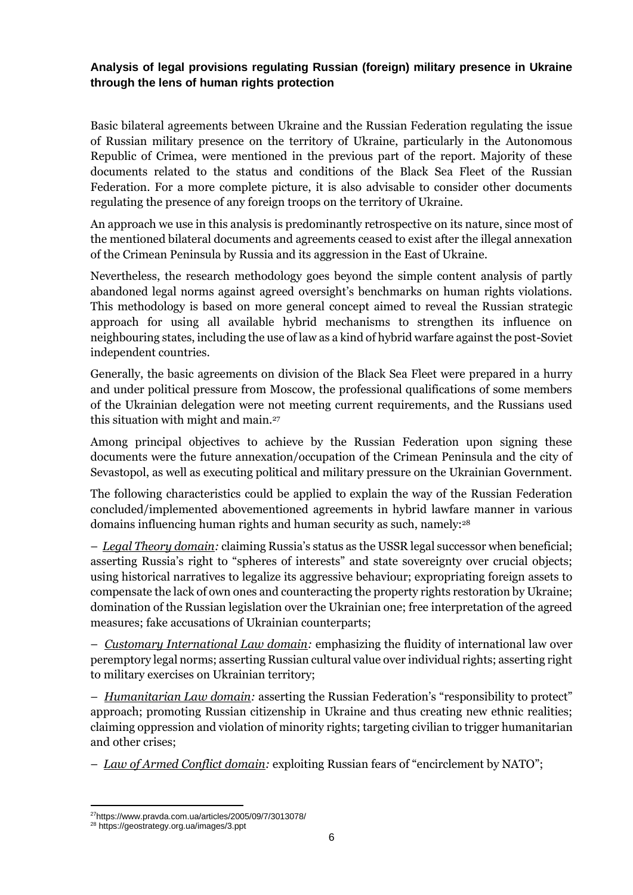## **Analysis of legal provisions regulating Russian (foreign) military presence in Ukraine through the lens of human rights protection**

Basic bilateral agreements between Ukraine and the Russian Federation regulating the issue of Russian military presence on the territory of Ukraine, particularly in the Autonomous Republic of Crimea, were mentioned in the previous part of the report. Majority of these documents related to the status and conditions of the Black Sea Fleet of the Russian Federation. For a more complete picture, it is also advisable to consider other documents regulating the presence of any foreign troops on the territory of Ukraine.

An approach we use in this analysis is predominantly retrospective on its nature, since most of the mentioned bilateral documents and agreements ceased to exist after the illegal annexation of the Crimean Peninsula by Russia and its aggression in the East of Ukraine.

Nevertheless, the research methodology goes beyond the simple content analysis of partly abandoned legal norms against agreed oversight's benchmarks on human rights violations. This methodology is based on more general concept aimed to reveal the Russian strategic approach for using all available hybrid mechanisms to strengthen its influence on neighbouring states, including the use of law as a kind of hybrid warfare against the post-Soviet independent countries.

Generally, the basic agreements on division of the Black Sea Fleet were prepared in a hurry and under political pressure from Moscow, the professional qualifications of some members of the Ukrainian delegation were not meeting current requirements, and the Russians used this situation with might and main.<sup>27</sup>

Among principal objectives to achieve by the Russian Federation upon signing these documents were the future annexation/occupation of the Crimean Peninsula and the city of Sevastopol, as well as executing political and military pressure on the Ukrainian Government.

The following characteristics could be applied to explain the way of the Russian Federation concluded/implemented abovementioned agreements in hybrid lawfare manner in various domains influencing human rights and human security as such, namely:<sup>28</sup>

– *Legal Theory domain:* claiming Russia's status as the USSR legal successor when beneficial; asserting Russia's right to "spheres of interests" and state sovereignty over crucial objects; using historical narratives to legalize its aggressive behaviour; expropriating foreign assets to compensate the lack of own ones and counteracting the property rights restoration by Ukraine; domination of the Russian legislation over the Ukrainian one; free interpretation of the agreed measures; fake accusations of Ukrainian counterparts;

– *Customary International Law domain:* emphasizing the fluidity of international law over peremptory legal norms; asserting Russian cultural value over individual rights; asserting right to military exercises on Ukrainian territory;

– *Humanitarian Law domain:* asserting the Russian Federation's "responsibility to protect" approach; promoting Russian citizenship in Ukraine and thus creating new ethnic realities; claiming oppression and violation of minority rights; targeting civilian to trigger humanitarian and other crises;

– *Law of Armed Conflict domain:* exploiting Russian fears of "encirclement by NATO";

<sup>27</sup><https://www.pravda.com.ua/articles/2005/09/7/3013078/>

<sup>28</sup> <https://geostrategy.org.ua/images/3.ppt>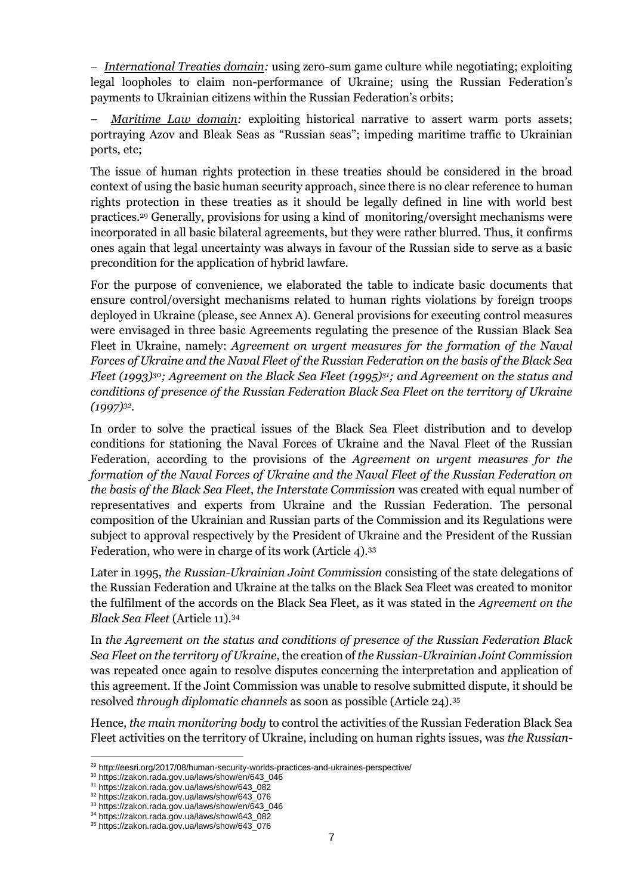– *International Treaties domain:* using zero-sum game culture while negotiating; exploiting legal loopholes to claim non-performance of Ukraine; using the Russian Federation's payments to Ukrainian citizens within the Russian Federation's orbits;

– *Maritime Law domain:* exploiting historical narrative to assert warm ports assets; portraying Azov and Bleak Seas as "Russian seas"; impeding maritime traffic to Ukrainian ports, etc;

The issue of human rights protection in these treaties should be considered in the broad context of using the basic human security approach, since there is no clear reference to human rights protection in these treaties as it should be legally defined in line with world best practices. <sup>29</sup> Generally, provisions for using a kind of monitoring/oversight mechanisms were incorporated in all basic bilateral agreements, but they were rather blurred. Thus, it confirms ones again that legal uncertainty was always in favour of the Russian side to serve as a basic precondition for the application of hybrid lawfare.

For the purpose of convenience, we elaborated the table to indicate basic documents that ensure control/oversight mechanisms related to human rights violations by foreign troops deployed in Ukraine (please, see Annex A). General provisions for executing control measures were envisaged in three basic Agreements regulating the presence of the Russian Black Sea Fleet in Ukraine, namely: *Agreement on urgent measures for the formation of the Naval Forces of Ukraine and the Naval Fleet of the Russian Federation on the basis of the Black Sea Fleet (1993)30; Agreement on the Black Sea Fleet (1995)31; and Agreement on the status and conditions of presence of the Russian Federation Black Sea Fleet on the territory of Ukraine (1997)<sup>32</sup> .*

In order to solve the practical issues of the Black Sea Fleet distribution and to develop conditions for stationing the Naval Forces of Ukraine and the Naval Fleet of the Russian Federation, according to the provisions of the *Agreement on urgent measures for the formation of the Naval Forces of Ukraine and the Naval Fleet of the Russian Federation on the basis of the Black Sea Fleet*, *the Interstate Commission* was created with equal number of representatives and experts from Ukraine and the Russian Federation. The personal composition of the Ukrainian and Russian parts of the Commission and its Regulations were subject to approval respectively by the President of Ukraine and the President of the Russian Federation, who were in charge of its work (Article 4).<sup>33</sup>

Later in 1995, *the Russian-Ukrainian Joint Commission* consisting of the state delegations of the Russian Federation and Ukraine at the talks on the Black Sea Fleet was created to monitor the fulfilment of the accords on the Black Sea Fleet, as it was stated in the *Agreement on the Black Sea Fleet* (Article 11).<sup>34</sup>

In *the Agreement on the status and conditions of presence of the Russian Federation Black Sea Fleet on the territory of Ukraine*, the creation of *the Russian-Ukrainian Joint Commission* was repeated once again to resolve disputes concerning the interpretation and application of this agreement. If the Joint Commission was unable to resolve submitted dispute, it should be resolved *through diplomatic channels* as soon as possible (Article 24).<sup>35</sup>

Hence, *the main monitoring body* to control the activities of the Russian Federation Black Sea Fleet activities on the territory of Ukraine, including on human rights issues, was *the Russian-*

<sup>&</sup>lt;sup>29</sup> <http://eesri.org/2017/08/human-security-worlds-practices-and-ukraines-perspective/>

<sup>30</sup> [https://zakon.rada.gov.ua/laws/show/en/643\\_046](https://zakon.rada.gov.ua/laws/show/en/643_046)

<sup>31</sup> [https://zakon.rada.gov.ua/laws/show/643\\_082](https://zakon.rada.gov.ua/laws/show/643_082)

<sup>32</sup> [https://zakon.rada.gov.ua/laws/show/643\\_076](https://zakon.rada.gov.ua/laws/show/643_076)

<sup>33</sup> [https://zakon.rada.gov.ua/laws/show/en/643\\_046](https://zakon.rada.gov.ua/laws/show/en/643_046)

<sup>34</sup> [https://zakon.rada.gov.ua/laws/show/643\\_082](https://zakon.rada.gov.ua/laws/show/643_082)

<sup>35</sup> [https://zakon.rada.gov.ua/laws/show/643\\_076](https://zakon.rada.gov.ua/laws/show/643_076)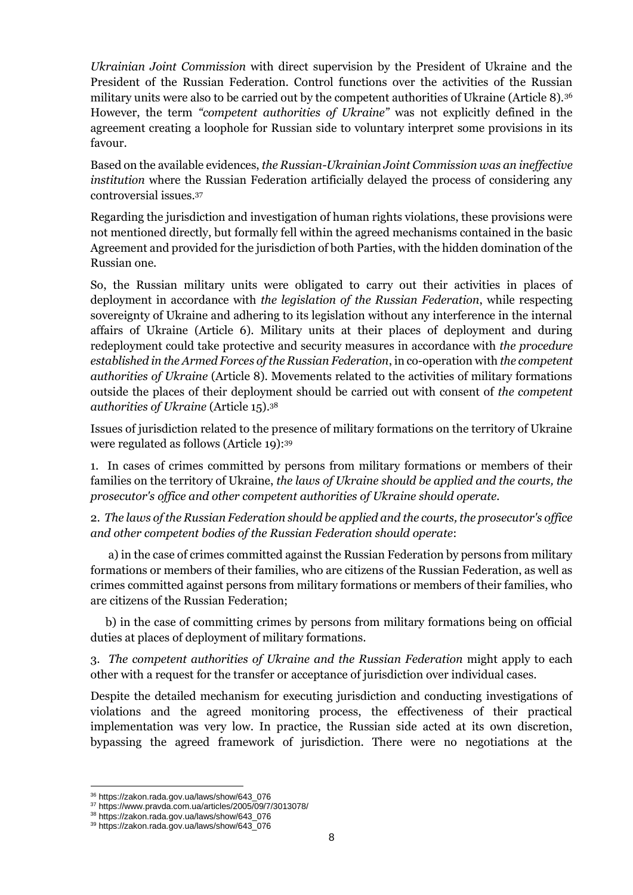*Ukrainian Joint Commission* with direct supervision by the President of Ukraine and the President of the Russian Federation. Control functions over the activities of the Russian military units were also to be carried out by the competent authorities of Ukraine (Article 8).<sup>36</sup> However, the term *"competent authorities of Ukraine"* was not explicitly defined in the agreement creating a loophole for Russian side to voluntary interpret some provisions in its favour.

Based on the available evidences, *the Russian-Ukrainian Joint Commission was an ineffective institution* where the Russian Federation artificially delayed the process of considering any controversial issues.<sup>37</sup>

Regarding the jurisdiction and investigation of human rights violations, these provisions were not mentioned directly, but formally fell within the agreed mechanisms contained in the basic Agreement and provided for the jurisdiction of both Parties, with the hidden domination of the Russian one.

So, the Russian military units were obligated to carry out their activities in places of deployment in accordance with *the legislation of the Russian Federation*, while respecting sovereignty of Ukraine and adhering to its legislation without any interference in the internal affairs of Ukraine (Article 6). Military units at their places of deployment and during redeployment could take protective and security measures in accordance with *the procedure established in the Armed Forces of the Russian Federation*, in co-operation with *the competent authorities of Ukraine* (Article 8). Movements related to the activities of military formations outside the places of their deployment should be carried out with consent of *the competent authorities of Ukraine* (Article 15).<sup>38</sup>

Issues of jurisdiction related to the presence of military formations on the territory of Ukraine were regulated as follows (Article 19):<sup>39</sup>

1. In cases of crimes committed by persons from military formations or members of their families on the territory of Ukraine, *the laws of Ukraine should be applied and the courts, the prosecutor's office and other competent authorities of Ukraine should operate.*

2. *The laws of the Russian Federation should be applied and the courts, the prosecutor's office and other competent bodies of the Russian Federation should operate*:

a) in the case of crimes committed against the Russian Federation by persons from military formations or members of their families, who are citizens of the Russian Federation, as well as crimes committed against persons from military formations or members of their families, who are citizens of the Russian Federation;

b) in the case of committing crimes by persons from military formations being on official duties at places of deployment of military formations.

3. *The competent authorities of Ukraine and the Russian Federation* might apply to each other with a request for the transfer or acceptance of jurisdiction over individual cases.

Despite the detailed mechanism for executing jurisdiction and conducting investigations of violations and the agreed monitoring process, the effectiveness of their practical implementation was very low. In practice, the Russian side acted at its own discretion, bypassing the agreed framework of jurisdiction. There were no negotiations at the

<sup>36</sup> [https://zakon.rada.gov.ua/laws/show/643\\_076](https://zakon.rada.gov.ua/laws/show/643_076)

<sup>37</sup> <https://www.pravda.com.ua/articles/2005/09/7/3013078/>

<sup>38</sup> [https://zakon.rada.gov.ua/laws/show/643\\_076](https://zakon.rada.gov.ua/laws/show/643_076)

<sup>39</sup> [https://zakon.rada.gov.ua/laws/show/643\\_076](https://zakon.rada.gov.ua/laws/show/643_076)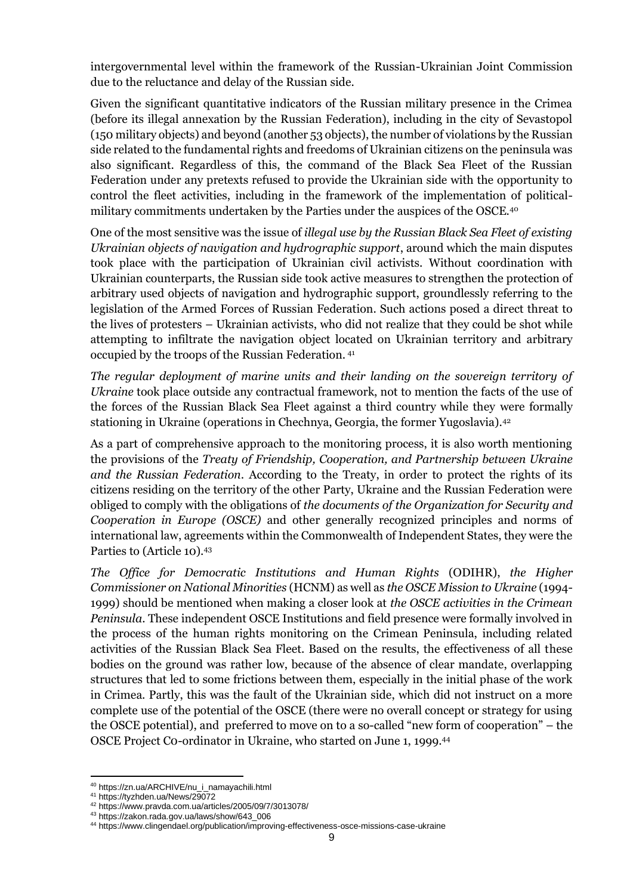intergovernmental level within the framework of the Russian-Ukrainian Joint Commission due to the reluctance and delay of the Russian side.

Given the significant quantitative indicators of the Russian military presence in the Crimea (before its illegal annexation by the Russian Federation), including in the city of Sevastopol (150 military objects) and beyond (another 53 objects), the number of violations by the Russian side related to the fundamental rights and freedoms of Ukrainian citizens on the peninsula was also significant. Regardless of this, the command of the Black Sea Fleet of the Russian Federation under any pretexts refused to provide the Ukrainian side with the opportunity to control the fleet activities, including in the framework of the implementation of politicalmilitary commitments undertaken by the Parties under the auspices of the OSCE.<sup>40</sup>

One of the most sensitive was the issue of *illegal use by the Russian Black Sea Fleet of existing Ukrainian objects of navigation and hydrographic support*, around which the main disputes took place with the participation of Ukrainian civil activists. Without coordination with Ukrainian counterparts, the Russian side took active measures to strengthen the protection of arbitrary used objects of navigation and hydrographic support, groundlessly referring to the legislation of the Armed Forces of Russian Federation. Such actions posed a direct threat to the lives of protesters – Ukrainian activists, who did not realize that they could be shot while attempting to infiltrate the navigation object located on Ukrainian territory and arbitrary occupied by the troops of the Russian Federation. <sup>41</sup>

*The regular deployment of marine units and their landing on the sovereign territory of Ukraine* took place outside any contractual framework, not to mention the facts of the use of the forces of the Russian Black Sea Fleet against a third country while they were formally stationing in Ukraine (operations in Chechnya, Georgia, the former Yugoslavia).<sup>42</sup>

As a part of comprehensive approach to the monitoring process, it is also worth mentioning the provisions of the *Treaty of Friendship, Cooperation, and Partnership between Ukraine and the Russian Federation*. According to the Treaty, in order to protect the rights of its citizens residing on the territory of the other Party, Ukraine and the Russian Federation were obliged to comply with the obligations of *the documents of the Organization for Security and Cooperation in Europe (OSCE)* and other generally recognized principles and norms of international law, agreements within the Commonwealth of Independent States, they were the Parties to (Article 10).<sup>43</sup>

*The Office for Democratic Institutions and Human Rights* (ODIHR), *the Higher Commissioner on National Minorities* (HCNM) as well as *the OSCE Mission to Ukraine* (1994- 1999) should be mentioned when making a closer look at *the OSCE activities in the Crimean Peninsula*. These independent OSCE Institutions and field presence were formally involved in the process of the human rights monitoring on the Crimean Peninsula, including related activities of the Russian Black Sea Fleet. Based on the results, the effectiveness of all these bodies on the ground was rather low, because of the absence of clear mandate, overlapping structures that led to some frictions between them, especially in the initial phase of the work in Crimea. Partly, this was the fault of the Ukrainian side, which did not instruct on a more complete use of the potential of the OSCE (there were no overall concept or strategy for using the OSCE potential), and preferred to move on to a so-called "new form of cooperation" – the OSCE Project C0-ordinator in Ukraine, who started on June 1, 1999.<sup>44</sup>

<sup>40</sup> [https://zn.ua/ARCHIVE/nu\\_i\\_namayachili.html](https://zn.ua/ARCHIVE/nu_i_namayachili.html)

<sup>41</sup> <https://tyzhden.ua/News/29072>

<sup>42</sup> <https://www.pravda.com.ua/articles/2005/09/7/3013078/>

<sup>43</sup> [https://zakon.rada.gov.ua/laws/show/643\\_006](https://zakon.rada.gov.ua/laws/show/643_006)

<sup>44</sup> <https://www.clingendael.org/publication/improving-effectiveness-osce-missions-case-ukraine>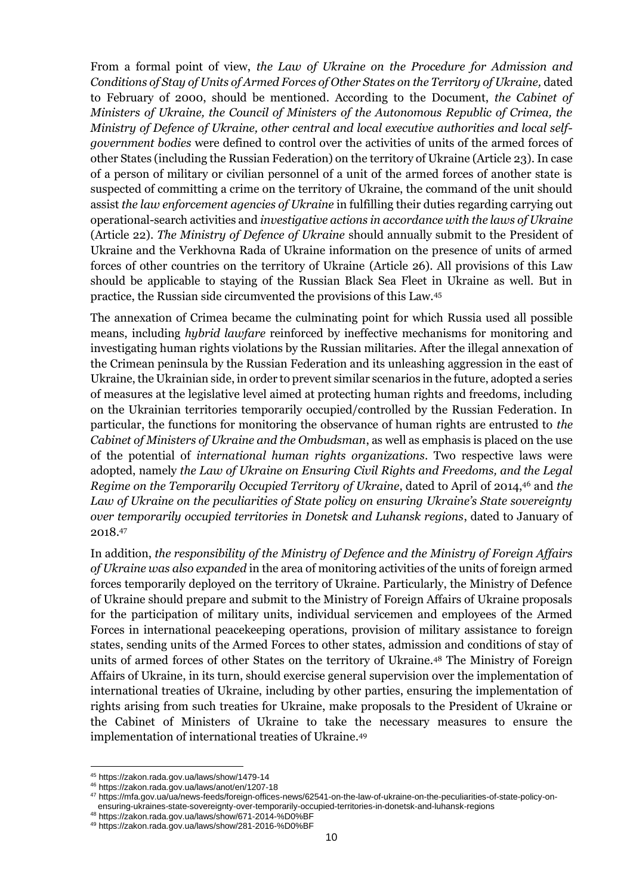From a formal point of view, *the Law of Ukraine on the Procedure for Admission and Conditions of Stay of Units of Armed Forces of Other States on the Territory of Ukraine,* dated to February of 2000, should be mentioned. According to the Document, *the Cabinet of Ministers of Ukraine, the Council of Ministers of the Autonomous Republic of Crimea, the Ministry of Defence of Ukraine, other central and local executive authorities and local selfgovernment bodies* were defined to control over the activities of units of the armed forces of other States (including the Russian Federation) on the territory of Ukraine (Article 23). In case of a person of military or civilian personnel of a unit of the armed forces of another state is suspected of committing a crime on the territory of Ukraine, the command of the unit should assist *the law enforcement agencies of Ukraine* in fulfilling their duties regarding carrying out operational-search activities and *investigative actions in accordance with the laws of Ukraine* (Article 22). *The Ministry of Defence of Ukraine* should annually submit to the President of Ukraine and the Verkhovna Rada of Ukraine information on the presence of units of armed forces of other countries on the territory of Ukraine (Article 26). All provisions of this Law should be applicable to staying of the Russian Black Sea Fleet in Ukraine as well. But in practice, the Russian side circumvented the provisions of this Law.<sup>45</sup>

The annexation of Crimea became the culminating point for which Russia used all possible means, including *hybrid lawfare* reinforced by ineffective mechanisms for monitoring and investigating human rights violations by the Russian militaries. After the illegal annexation of the Crimean peninsula by the Russian Federation and its unleashing aggression in the east of Ukraine, the Ukrainian side, in order to prevent similar scenarios in the future, adopted a series of measures at the legislative level aimed at protecting human rights and freedoms, including on the Ukrainian territories temporarily occupied/controlled by the Russian Federation. In particular, the functions for monitoring the observance of human rights are entrusted to *the Cabinet of Ministers of Ukraine and the Ombudsman*, as well as emphasis is placed on the use of the potential of *international human rights organizations*. Two respective laws were adopted, namely *the Law of Ukraine on Ensuring Civil Rights and Freedoms, and the Legal Regime on the Temporarily Occupied Territory of Ukraine*, dated to April of 2014,<sup>46</sup> and *the*  Law of Ukraine on the peculiarities of State policy on ensuring Ukraine's State sovereignty *over temporarily occupied territories in Donetsk and Luhansk regions*, dated to January of 2018.<sup>47</sup>

In addition, *the responsibility of the Ministry of Defence and the Ministry of Foreign Affairs of Ukraine was also expanded* in the area of monitoring activities of the units of foreign armed forces temporarily deployed on the territory of Ukraine. Particularly, the Ministry of Defence of Ukraine should prepare and submit to the Ministry of Foreign Affairs of Ukraine proposals for the participation of military units, individual servicemen and employees of the Armed Forces in international peacekeeping operations, provision of military assistance to foreign states, sending units of the Armed Forces to other states, admission and conditions of stay of units of armed forces of other States on the territory of Ukraine.<sup>48</sup> The Ministry of Foreign Affairs of Ukraine, in its turn, should exercise general supervision over the implementation of international treaties of Ukraine, including by other parties, ensuring the implementation of rights arising from such treaties for Ukraine, make proposals to the President of Ukraine or the Cabinet of Ministers of Ukraine to take the necessary measures to ensure the implementation of international treaties of Ukraine.<sup>49</sup>

<sup>45</sup> <https://zakon.rada.gov.ua/laws/show/1479-14>

<sup>46</sup> <https://zakon.rada.gov.ua/laws/anot/en/1207-18>

<sup>47</sup> [https://mfa.gov.ua/ua/news-feeds/foreign-offices-news/62541-on-the-law-of-ukraine-on-the-peculiarities-of-state-policy-on](https://mfa.gov.ua/ua/news-feeds/foreign-offices-news/62541-on-the-law-of-ukraine-on-the-peculiarities-of-state-policy-on-ensuring-ukraines-state-sovereignty-over-temporarily-occupied-territories-in-donetsk-and-luhansk-regions)[ensuring-ukraines-state-sovereignty-over-temporarily-occupied-territories-in-donetsk-and-luhansk-regions](https://mfa.gov.ua/ua/news-feeds/foreign-offices-news/62541-on-the-law-of-ukraine-on-the-peculiarities-of-state-policy-on-ensuring-ukraines-state-sovereignty-over-temporarily-occupied-territories-in-donetsk-and-luhansk-regions)

<sup>48</sup> <https://zakon.rada.gov.ua/laws/show/671-2014-%D0%BF>

<sup>49</sup> <https://zakon.rada.gov.ua/laws/show/281-2016-%D0%BF>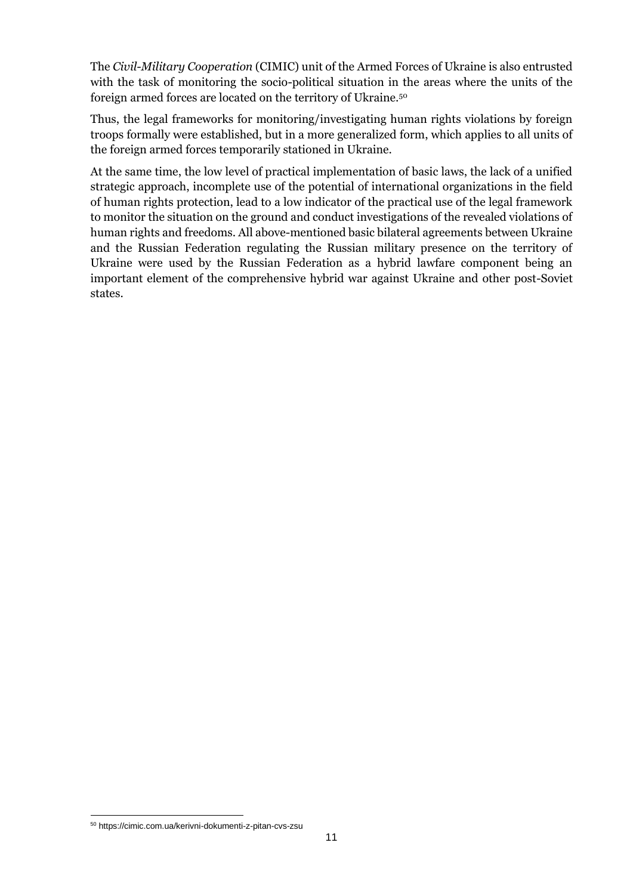The *Civil-Military Cooperation* (CIMIC) unit of the Armed Forces of Ukraine is also entrusted with the task of monitoring the socio-political situation in the areas where the units of the foreign armed forces are located on the territory of Ukraine.<sup>50</sup>

Thus, the legal frameworks for monitoring/investigating human rights violations by foreign troops formally were established, but in a more generalized form, which applies to all units of the foreign armed forces temporarily stationed in Ukraine.

At the same time, the low level of practical implementation of basic laws, the lack of a unified strategic approach, incomplete use of the potential of international organizations in the field of human rights protection, lead to a low indicator of the practical use of the legal framework to monitor the situation on the ground and conduct investigations of the revealed violations of human rights and freedoms. All above-mentioned basic bilateral agreements between Ukraine and the Russian Federation regulating the Russian military presence on the territory of Ukraine were used by the Russian Federation as a hybrid lawfare component being an important element of the comprehensive hybrid war against Ukraine and other post-Soviet states.

<sup>50</sup> <https://cimic.com.ua/kerivni-dokumenti-z-pitan-cvs-zsu>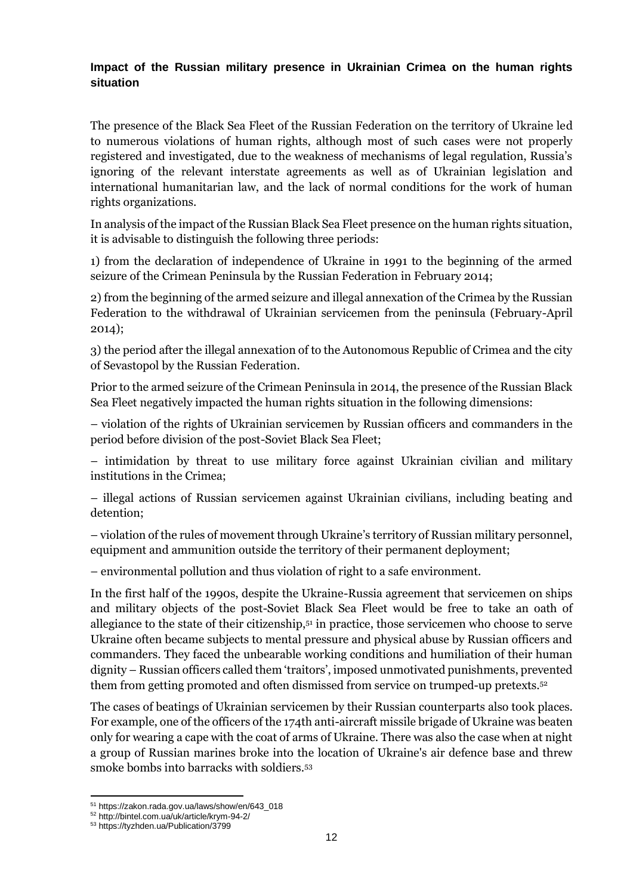#### **Impact of the Russian military presence in Ukrainian Crimea on the human rights situation**

The presence of the Black Sea Fleet of the Russian Federation on the territory of Ukraine led to numerous violations of human rights, although most of such cases were not properly registered and investigated, due to the weakness of mechanisms of legal regulation, Russia's ignoring of the relevant interstate agreements as well as of Ukrainian legislation and international humanitarian law, and the lack of normal conditions for the work of human rights organizations.

In analysis of the impact of the Russian Black Sea Fleet presence on the human rights situation, it is advisable to distinguish the following three periods:

1) from the declaration of independence of Ukraine in 1991 to the beginning of the armed seizure of the Crimean Peninsula by the Russian Federation in February 2014;

2) from the beginning of the armed seizure and illegal annexation of the Crimea by the Russian Federation to the withdrawal of Ukrainian servicemen from the peninsula (February-April 2014);

3) the period after the illegal annexation of to the Autonomous Republic of Crimea and the city of Sevastopol by the Russian Federation.

Prior to the armed seizure of the Crimean Peninsula in 2014, the presence of the Russian Black Sea Fleet negatively impacted the human rights situation in the following dimensions:

– violation of the rights of Ukrainian servicemen by Russian officers and commanders in the period before division of the post-Soviet Black Sea Fleet;

– intimidation by threat to use military force against Ukrainian civilian and military institutions in the Crimea;

– illegal actions of Russian servicemen against Ukrainian civilians, including beating and detention;

– violation of the rules of movement through Ukraine's territory of Russian military personnel, equipment and ammunition outside the territory of their permanent deployment;

– environmental pollution and thus violation of right to a safe environment.

In the first half of the 1990s, despite the Ukraine-Russia agreement that servicemen on ships and military objects of the post-Soviet Black Sea Fleet would be free to take an oath of allegiance to the state of their citizenship,<sup>51</sup> in practice, those servicemen who choose to serve Ukraine often became subjects to mental pressure and physical abuse by Russian officers and commanders. They faced the unbearable working conditions and humiliation of their human dignity – Russian officers called them 'traitors', imposed unmotivated punishments, prevented them from getting promoted and often dismissed from service on trumped-up pretexts.<sup>52</sup>

The cases of beatings of Ukrainian servicemen by their Russian counterparts also took places. For example, one of the officers of the 174th anti-aircraft missile brigade of Ukraine was beaten only for wearing a cape with the coat of arms of Ukraine. There was also the case when at night a group of Russian marines broke into the location of Ukraine's air defence base and threw smoke bombs into barracks with soldiers.<sup>53</sup>

<sup>51</sup> [https://zakon.rada.gov.ua/laws/show/en/643\\_018](https://zakon.rada.gov.ua/laws/show/en/643_018)

<sup>52</sup> <http://bintel.com.ua/uk/article/krym-94-2/>

<sup>53</sup> <https://tyzhden.ua/Publication/3799>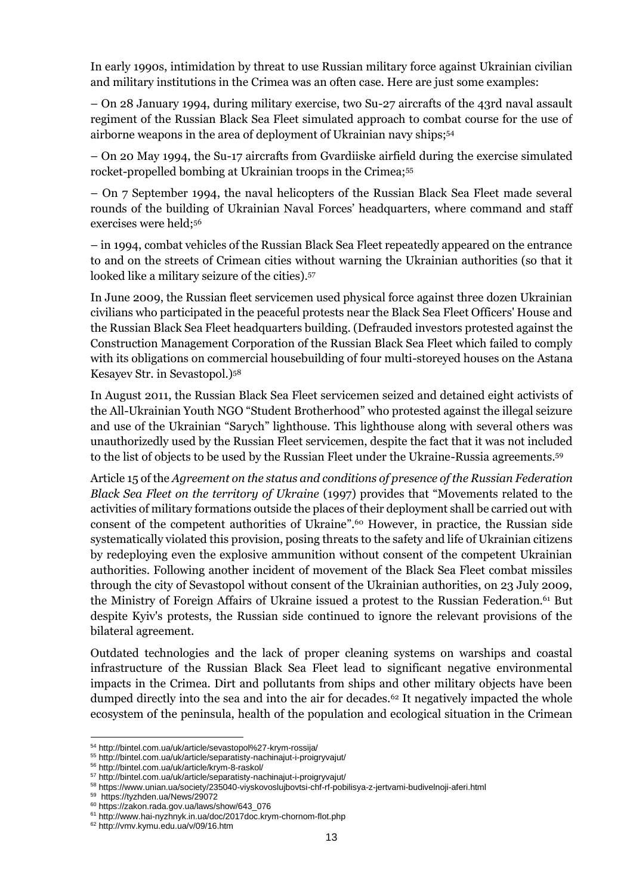In early 1990s, intimidation by threat to use Russian military force against Ukrainian civilian and military institutions in the Crimea was an often case. Here are just some examples:

– On 28 January 1994, during military exercise, two Su-27 aircrafts of the 43rd naval assault regiment of the Russian Black Sea Fleet simulated approach to combat course for the use of airborne weapons in the area of deployment of Ukrainian navy ships;<sup>54</sup>

– On 20 May 1994, the Su-17 aircrafts from Gvardiiske airfield during the exercise simulated rocket-propelled bombing at Ukrainian troops in the Crimea;<sup>55</sup>

– On 7 September 1994, the naval helicopters of the Russian Black Sea Fleet made several rounds of the building of Ukrainian Naval Forces' headquarters, where command and staff exercises were held;<sup>56</sup>

– in 1994, combat vehicles of the Russian Black Sea Fleet repeatedly appeared on the entrance to and on the streets of Crimean cities without warning the Ukrainian authorities (so that it looked like a military seizure of the cities).<sup>57</sup>

In June 2009, the Russian fleet servicemen used physical force against three dozen Ukrainian civilians who participated in the peaceful protests near the Black Sea Fleet Officers' House and the Russian Black Sea Fleet headquarters building. (Defrauded investors protested against the Construction Management Corporation of the Russian Black Sea Fleet which failed to comply with its obligations on commercial housebuilding of four multi-storeyed houses on the Astana Kesayev Str. in Sevastopol.)<sup>58</sup>

In August 2011, the Russian Black Sea Fleet servicemen seized and detained eight activists of the All-Ukrainian Youth NGO "Student Brotherhood" who protested against the illegal seizure and use of the Ukrainian "Sarych" lighthouse. This lighthouse along with several others was unauthorizedly used by the Russian Fleet servicemen, despite the fact that it was not included to the list of objects to be used by the Russian Fleet under the Ukraine-Russia agreements.<sup>59</sup>

Article 15 of the *Agreement on the status and conditions of presence of the Russian Federation Black Sea Fleet on the territory of Ukraine* (1997) provides that "Movements related to the activities of military formations outside the places of their deployment shall be carried out with consent of the competent authorities of Ukraine".<sup>60</sup> However, in practice, the Russian side systematically violated this provision, posing threats to the safety and life of Ukrainian citizens by redeploying even the explosive ammunition without consent of the competent Ukrainian authorities. Following another incident of movement of the Black Sea Fleet combat missiles through the city of Sevastopol without consent of the Ukrainian authorities, on 23 July 2009, the Ministry of Foreign Affairs of Ukraine issued a protest to the Russian Federation.<sup>61</sup> But despite Kyiv's protests, the Russian side continued to ignore the relevant provisions of the bilateral agreement.

Outdated technologies and the lack of proper cleaning systems on warships and coastal infrastructure of the Russian Black Sea Fleet lead to significant negative environmental impacts in the Crimea. Dirt and pollutants from ships and other military objects have been dumped directly into the sea and into the air for decades.<sup>62</sup> It negatively impacted the whole ecosystem of the peninsula, health of the population and ecological situation in the Crimean

<sup>54</sup> <http://bintel.com.ua/uk/article/sevastopol%27-krym-rossija/>

<sup>55</sup> <http://bintel.com.ua/uk/article/separatisty-nachinajut-i-proigryvajut/>

<sup>56</sup> <http://bintel.com.ua/uk/article/krym-8-raskol/>

<sup>57</sup> <http://bintel.com.ua/uk/article/separatisty-nachinajut-i-proigryvajut/>

<sup>58</sup> <https://www.unian.ua/society/235040-viyskovoslujbovtsi-chf-rf-pobilisya-z-jertvami-budivelnoji-aferi.html>

<sup>59</sup> <https://tyzhden.ua/News/29072>

<sup>60</sup> [https://zakon.rada.gov.ua/laws/show/643\\_076](https://zakon.rada.gov.ua/laws/show/643_076)

<sup>61</sup> <http://www.hai-nyzhnyk.in.ua/doc/2017doc.krym-chornom-flot.php>

<sup>62</sup> <http://vmv.kymu.edu.ua/v/09/16.htm>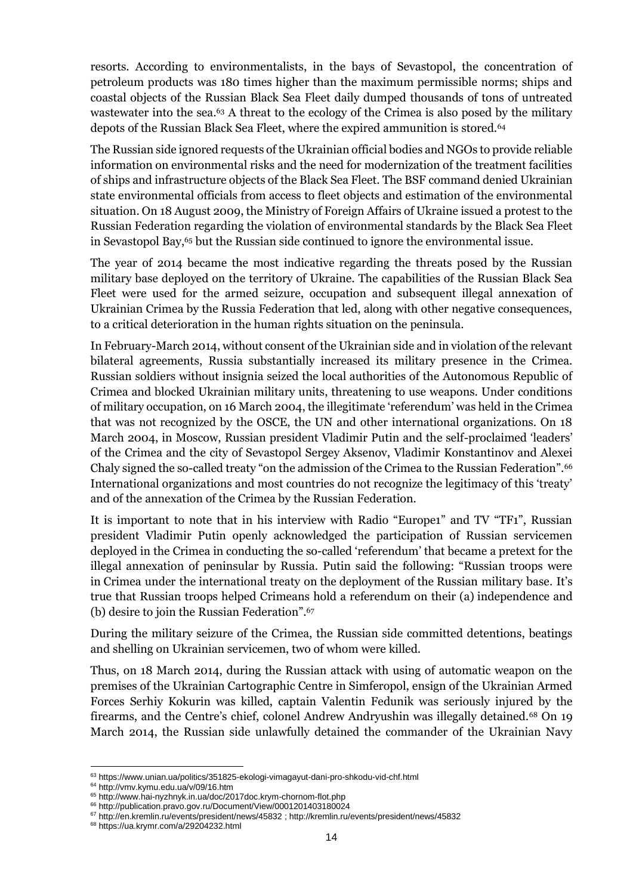resorts. According to environmentalists, in the bays of Sevastopol, the concentration of petroleum products was 180 times higher than the maximum permissible norms; ships and coastal objects of the Russian Black Sea Fleet daily dumped thousands of tons of untreated wastewater into the sea.<sup>63</sup> A threat to the ecology of the Crimea is also posed by the military depots of the Russian Black Sea Fleet, where the expired ammunition is stored.<sup>64</sup>

The Russian side ignored requests of the Ukrainian official bodies and NGOs to provide reliable information on environmental risks and the need for modernization of the treatment facilities of ships and infrastructure objects of the Black Sea Fleet. The BSF command denied Ukrainian state environmental officials from access to fleet objects and estimation of the environmental situation. On 18 August 2009, the Ministry of Foreign Affairs of Ukraine issued a protest to the Russian Federation regarding the violation of environmental standards by the Black Sea Fleet in Sevastopol Bay,<sup>65</sup> but the Russian side continued to ignore the environmental issue.

The year of 2014 became the most indicative regarding the threats posed by the Russian military base deployed on the territory of Ukraine. The capabilities of the Russian Black Sea Fleet were used for the armed seizure, occupation and subsequent illegal annexation of Ukrainian Crimea by the Russia Federation that led, along with other negative consequences, to a critical deterioration in the human rights situation on the peninsula.

In February-March 2014, without consent of the Ukrainian side and in violation of the relevant bilateral agreements, Russia substantially increased its military presence in the Crimea. Russian soldiers without insignia seized the local authorities of the Autonomous Republic of Crimea and blocked Ukrainian military units, threatening to use weapons. Under conditions of military occupation, on 16 March 2004, the illegitimate 'referendum' was held in the Crimea that was not recognized by the OSCE, the UN and other international organizations. On 18 March 2004, in Moscow, Russian president Vladimir Putin and the self-proclaimed 'leaders' of the Crimea and the city of Sevastopol Sergey Aksenov, Vladimir Konstantinov and Alexei Chaly signed the so-called treaty "on the admission of the Crimea to the Russian Federation".<sup>66</sup> International organizations and most countries do not recognize the legitimacy of this 'treaty' and of the annexation of the Crimea by the Russian Federation.

It is important to note that in his interview with Radio "Europe1" and TV "TF1", Russian president Vladimir Putin openly acknowledged the participation of Russian servicemen deployed in the Crimea in conducting the so-called 'referendum' that became a pretext for the illegal annexation of peninsular by Russia. Putin said the following: "Russian troops were in Crimea under the international treaty on the deployment of the Russian military base. It's true that Russian troops helped Crimeans hold a referendum on their (a) independence and (b) desire to join the Russian Federation".<sup>67</sup>

During the military seizure of the Crimea, the Russian side committed detentions, beatings and shelling on Ukrainian servicemen, two of whom were killed.

Thus, on 18 March 2014, during the Russian attack with using of automatic weapon on the premises of the Ukrainian Cartographic Centre in Simferopol, ensign of the Ukrainian Armed Forces Serhiy Kokurin was killed, captain Valentin Fedunik was seriously injured by the firearms, and the Centre's chief, colonel Andrew Andryushin was illegally detained.<sup>68</sup> On 19 March 2014, the Russian side unlawfully detained the commander of the Ukrainian Navy

<sup>63</sup> <https://www.unian.ua/politics/351825-ekologi-vimagayut-dani-pro-shkodu-vid-chf.html>

<sup>64</sup> <http://vmv.kymu.edu.ua/v/09/16.htm>

<sup>65</sup> <http://www.hai-nyzhnyk.in.ua/doc/2017doc.krym-chornom-flot.php>

<sup>66</sup> <http://publication.pravo.gov.ru/Document/View/0001201403180024> <sup>67</sup> <http://en.kremlin.ru/events/president/news/45832> [; http://kremlin.ru/events/president/news/45832](http://kremlin.ru/events/president/news/45832)

<sup>68</sup> <https://ua.krymr.com/a/29204232.html>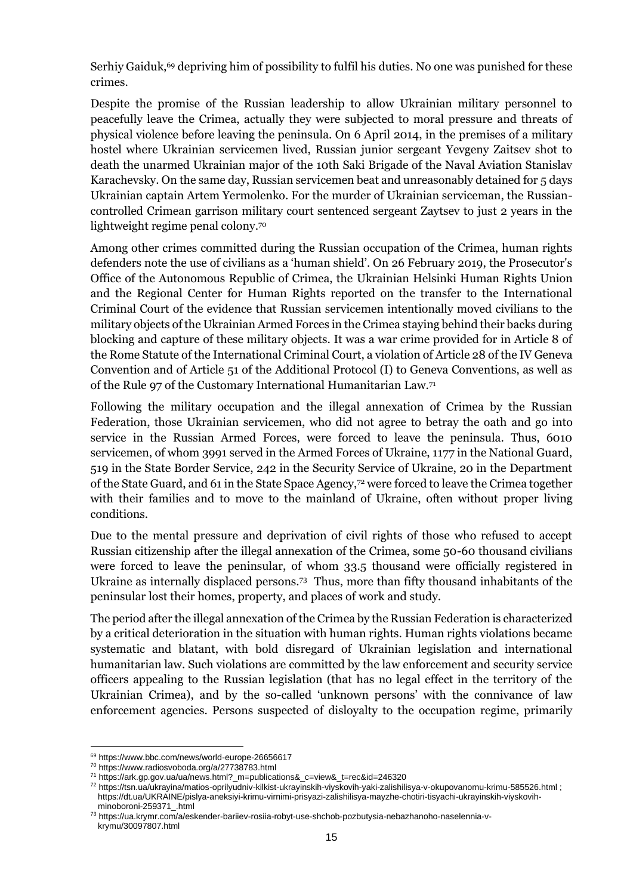Serhiy Gaiduk,<sup>69</sup> depriving him of possibility to fulfil his duties. No one was punished for these crimes.

Despite the promise of the Russian leadership to allow Ukrainian military personnel to peacefully leave the Crimea, actually they were subjected to moral pressure and threats of physical violence before leaving the peninsula. On 6 April 2014, in the premises of a military hostel where Ukrainian servicemen lived, Russian junior sergeant Yevgeny Zaitsev shot to death the unarmed Ukrainian major of the 10th Saki Brigade of the Naval Aviation Stanislav Karachevsky. On the same day, Russian servicemen beat and unreasonably detained for 5 days Ukrainian captain Artem Yermolenko. For the murder of Ukrainian serviceman, the Russiancontrolled Crimean garrison military court sentenced sergeant Zaytsev to just 2 years in the lightweight regime penal colony.<sup>70</sup>

Among other crimes committed during the Russian occupation of the Crimea, human rights defenders note the use of civilians as a 'human shield'. On 26 February 2019, the Prosecutor's Office of the Autonomous Republic of Crimea, the Ukrainian Helsinki Human Rights Union and the Regional Center for Human Rights reported on the transfer to the International Criminal Court of the evidence that Russian servicemen intentionally moved civilians to the military objects of the Ukrainian Armed Forces in the Crimea staying behind their backs during blocking and capture of these military objects. It was a war crime provided for in Article 8 of the Rome Statute of the International Criminal Court, a violation of Article 28 of the IV Geneva Convention and of Article 51 of the Additional Protocol (I) to Geneva Conventions, as well as of the Rule 97 of the Customary International Humanitarian Law.<sup>71</sup>

Following the military occupation and the illegal annexation of Crimea by the Russian Federation, those Ukrainian servicemen, who did not agree to betray the oath and go into service in the Russian Armed Forces, were forced to leave the peninsula. Thus, 6010 servicemen, of whom 3991 served in the Armed Forces of Ukraine, 1177 in the National Guard, 519 in the State Border Service, 242 in the Security Service of Ukraine, 20 in the Department of the State Guard, and 61 in the State Space Agency,<sup>72</sup> were forced to leave the Crimea together with their families and to move to the mainland of Ukraine, often without proper living conditions.

Due to the mental pressure and deprivation of civil rights of those who refused to accept Russian citizenship after the illegal annexation of the Crimea, some 50-60 thousand civilians were forced to leave the peninsular, of whom 33.5 thousand were officially registered in Ukraine as internally displaced persons.<sup>73</sup> Thus, more than fifty thousand inhabitants of the peninsular lost their homes, property, and places of work and study.

The period after the illegal annexation of the Crimea by the Russian Federation is characterized by a critical deterioration in the situation with human rights. Human rights violations became systematic and blatant, with bold disregard of Ukrainian legislation and international humanitarian law. Such violations are committed by the law enforcement and security service officers appealing to the Russian legislation (that has no legal effect in the territory of the Ukrainian Crimea), and by the so-called 'unknown persons' with the connivance of law enforcement agencies. Persons suspected of disloyalty to the occupation regime, primarily

<sup>69</sup> <https://www.bbc.com/news/world-europe-26656617>

<sup>70</sup> <https://www.radiosvoboda.org/a/27738783.html>

<sup>71</sup> [https://ark.gp.gov.ua/ua/news.html?\\_m=publications&\\_c=view&\\_t=rec&id=246320](https://ark.gp.gov.ua/ua/news.html?_m=publications&_c=view&_t=rec&id=246320)

<sup>72</sup> <https://tsn.ua/ukrayina/matios-oprilyudniv-kilkist-ukrayinskih-viyskovih-yaki-zalishilisya-v-okupovanomu-krimu-585526.html> ; [https://dt.ua/UKRAINE/pislya-aneksiyi-krimu-virnimi-prisyazi-zalishilisya-mayzhe-chotiri-tisyachi-ukrayinskih-viyskovih](https://dt.ua/UKRAINE/pislya-aneksiyi-krimu-virnimi-prisyazi-zalishilisya-mayzhe-chotiri-tisyachi-ukrayinskih-viyskovih-minoboroni-259371_.html)[minoboroni-259371\\_.html](https://dt.ua/UKRAINE/pislya-aneksiyi-krimu-virnimi-prisyazi-zalishilisya-mayzhe-chotiri-tisyachi-ukrayinskih-viyskovih-minoboroni-259371_.html)

<sup>73</sup> [https://ua.krymr.com/a/eskender-bariiev-rosiia-robyt-use-shchob-pozbutysia-nebazhanoho-naselennia-v](https://ua.krymr.com/a/eskender-bariiev-rosiia-robyt-use-shchob-pozbutysia-nebazhanoho-naselennia-v-krymu/30097807.html)[krymu/30097807.html](https://ua.krymr.com/a/eskender-bariiev-rosiia-robyt-use-shchob-pozbutysia-nebazhanoho-naselennia-v-krymu/30097807.html)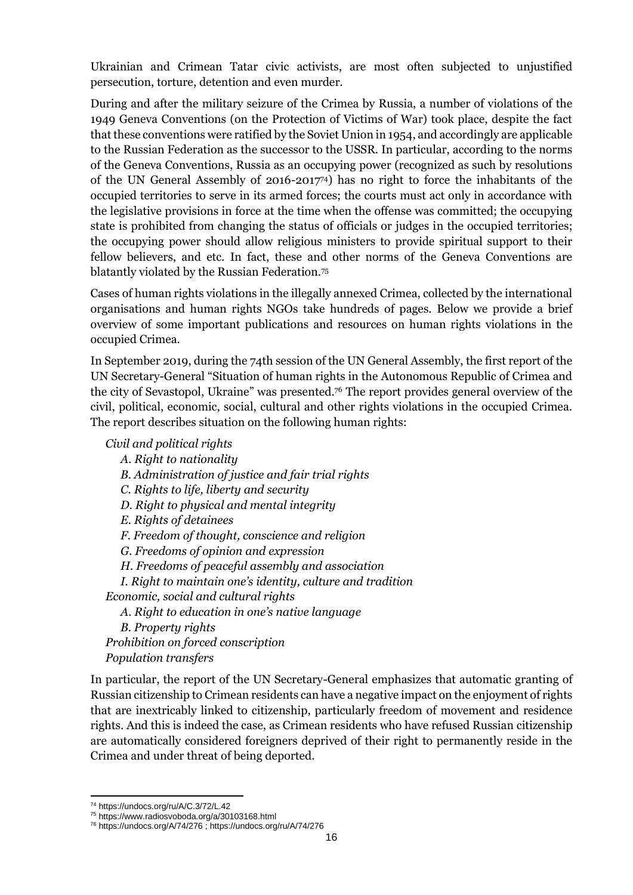Ukrainian and Crimean Tatar civic activists, are most often subjected to unjustified persecution, torture, detention and even murder.

During and after the military seizure of the Crimea by Russia, a number of violations of the 1949 Geneva Conventions (on the Protection of Victims of War) took place, despite the fact that these conventions were ratified by the Soviet Union in 1954, and accordingly are applicable to the Russian Federation as the successor to the USSR. In particular, according to the norms of the Geneva Conventions, Russia as an occupying power (recognized as such by resolutions of the UN General Assembly of 2016-201774) has no right to force the inhabitants of the occupied territories to serve in its armed forces; the courts must act only in accordance with the legislative provisions in force at the time when the offense was committed; the occupying state is prohibited from changing the status of officials or judges in the occupied territories; the occupying power should allow religious ministers to provide spiritual support to their fellow believers, and etc. In fact, these and other norms of the Geneva Conventions are blatantly violated by the Russian Federation.<sup>75</sup>

Cases of human rights violations in the illegally annexed Crimea, collected by the international organisations and human rights NGOs take hundreds of pages. Below we provide a brief overview of some important publications and resources on human rights violations in the occupied Crimea.

In September 2019, during the 74th session of the UN General Assembly, the first report of the UN Secretary-General "Situation of human rights in the Autonomous Republic of Crimea and the city of Sevastopol, Ukraine" was presented.<sup>76</sup> The report provides general overview of the civil, political, economic, social, cultural and other rights violations in the occupied Crimea. The report describes situation on the following human rights:

#### *Civil and political rights*

*A. Right to nationality B. Administration of justice and fair trial rights C. Rights to life, liberty and security D. Right to physical and mental integrity E. Rights of detainees F. Freedom of thought, conscience and religion G. Freedoms of opinion and expression H. Freedoms of peaceful assembly and association I. Right to maintain one's identity, culture and tradition Economic, social and cultural rights A. Right to education in one's native language B. Property rights Prohibition on forced conscription Population transfers*

In particular, the report of the UN Secretary-General emphasizes that automatic granting of Russian citizenship to Crimean residents can have a negative impact on the enjoyment of rights that are inextricably linked to citizenship, particularly freedom of movement and residence rights. And this is indeed the case, as Crimean residents who have refused Russian citizenship are automatically considered foreigners deprived of their right to permanently reside in the Crimea and under threat of being deported.

<sup>74</sup> <https://undocs.org/ru/A/C.3/72/L.42>

<sup>75</sup> <https://www.radiosvoboda.org/a/30103168.html>

<sup>76</sup> <https://undocs.org/A/74/276> [; https://undocs.org/ru/A/74/276](https://undocs.org/ru/A/74/276)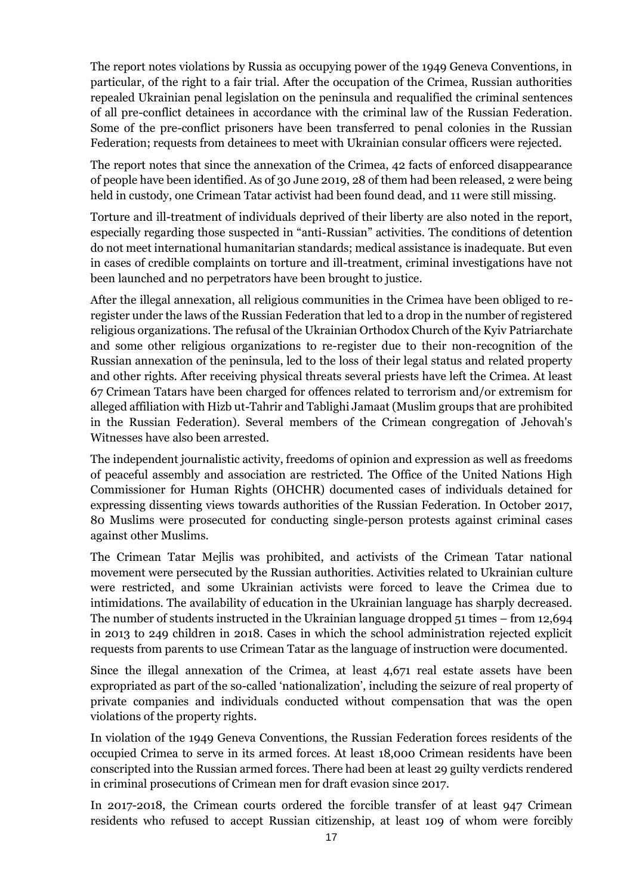The report notes violations by Russia as occupying power of the 1949 Geneva Conventions, in particular, of the right to a fair trial. After the occupation of the Crimea, Russian authorities repealed Ukrainian penal legislation on the peninsula and requalified the criminal sentences of all pre-conflict detainees in accordance with the criminal law of the Russian Federation. Some of the pre-conflict prisoners have been transferred to penal colonies in the Russian Federation; requests from detainees to meet with Ukrainian consular officers were rejected.

The report notes that since the annexation of the Crimea, 42 facts of enforced disappearance of people have been identified. As of 30 June 2019, 28 of them had been released, 2 were being held in custody, one Crimean Tatar activist had been found dead, and 11 were still missing.

Torture and ill-treatment of individuals deprived of their liberty are also noted in the report, especially regarding those suspected in "anti-Russian" activities. The conditions of detention do not meet international humanitarian standards; medical assistance is inadequate. But even in cases of credible complaints on torture and ill-treatment, criminal investigations have not been launched and no perpetrators have been brought to justice.

After the illegal annexation, all religious communities in the Crimea have been obliged to reregister under the laws of the Russian Federation that led to a drop in the number of registered religious organizations. The refusal of the Ukrainian Orthodox Church of the Kyiv Patriarchate and some other religious organizations to re-register due to their non-recognition of the Russian annexation of the peninsula, led to the loss of their legal status and related property and other rights. After receiving physical threats several priests have left the Crimea. At least 67 Crimean Tatars have been charged for offences related to terrorism and/or extremism for alleged affiliation with Hizb ut-Tahrir and Tablighi Jamaat (Muslim groups that are prohibited in the Russian Federation). Several members of the Crimean congregation of Jehovah's Witnesses have also been arrested.

The independent journalistic activity, freedoms of opinion and expression as well as freedoms of peaceful assembly and association are restricted. The Office of the United Nations High Commissioner for Human Rights (OHCHR) documented cases of individuals detained for expressing dissenting views towards authorities of the Russian Federation. In October 2017, 80 Muslims were prosecuted for conducting single-person protests against criminal cases against other Muslims.

The Crimean Tatar Mejlis was prohibited, and activists of the Crimean Tatar national movement were persecuted by the Russian authorities. Activities related to Ukrainian culture were restricted, and some Ukrainian activists were forced to leave the Crimea due to intimidations. The availability of education in the Ukrainian language has sharply decreased. The number of students instructed in the Ukrainian language dropped 51 times – from 12,694 in 2013 to 249 children in 2018. Cases in which the school administration rejected explicit requests from parents to use Crimean Tatar as the language of instruction were documented.

Since the illegal annexation of the Crimea, at least 4,671 real estate assets have been expropriated as part of the so-called 'nationalization', including the seizure of real property of private companies and individuals conducted without compensation that was the open violations of the property rights.

In violation of the 1949 Geneva Conventions, the Russian Federation forces residents of the occupied Crimea to serve in its armed forces. At least 18,000 Crimean residents have been conscripted into the Russian armed forces. There had been at least 29 guilty verdicts rendered in criminal prosecutions of Crimean men for draft evasion since 2017.

In 2017-2018, the Crimean courts ordered the forcible transfer of at least 947 Crimean residents who refused to accept Russian citizenship, at least 109 of whom were forcibly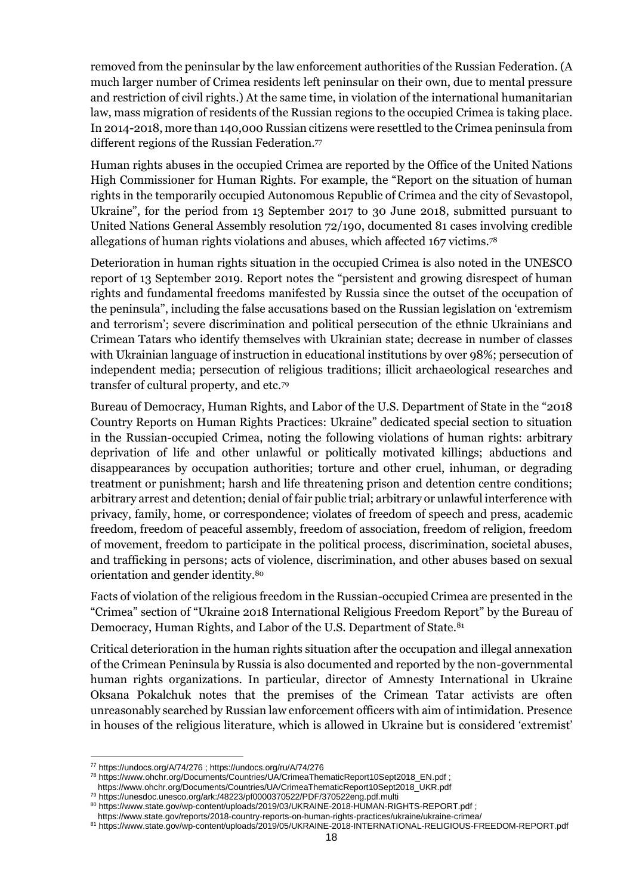removed from the peninsular by the law enforcement authorities of the Russian Federation. (A much larger number of Crimea residents left peninsular on their own, due to mental pressure and restriction of civil rights.) At the same time, in violation of the international humanitarian law, mass migration of residents of the Russian regions to the occupied Crimea is taking place. In 2014-2018, more than 140,000 Russian citizens were resettled to the Crimea peninsula from different regions of the Russian Federation.<sup>77</sup>

Human rights abuses in the occupied Crimea are reported by the Office of the United Nations High Commissioner for Human Rights. For example, the "Report on the situation of human rights in the temporarily occupied Autonomous Republic of Crimea and the city of Sevastopol, Ukraine", for the period from 13 September 2017 to 30 June 2018, submitted pursuant to United Nations General Assembly resolution 72/190, documented 81 cases involving credible allegations of human rights violations and abuses, which affected 167 victims.<sup>78</sup>

Deterioration in human rights situation in the occupied Crimea is also noted in the UNESCO report of 13 September 2019. Report notes the "persistent and growing disrespect of human rights and fundamental freedoms manifested by Russia since the outset of the occupation of the peninsula", including the false accusations based on the Russian legislation on 'extremism and terrorism'; severe discrimination and political persecution of the ethnic Ukrainians and Crimean Tatars who identify themselves with Ukrainian state; decrease in number of classes with Ukrainian language of instruction in educational institutions by over 98%; persecution of independent media; persecution of religious traditions; illicit archaeological researches and transfer of cultural property, and etc.<sup>79</sup>

Bureau of Democracy, Human Rights, and Labor of the U.S. Department of State in the "2018 Country Reports on Human Rights Practices: Ukraine" dedicated special section to situation in the Russian-occupied Crimea, noting the following violations of human rights: arbitrary deprivation of life and other unlawful or politically motivated killings; abductions and disappearances by occupation authorities; torture and other cruel, inhuman, or degrading treatment or punishment; harsh and life threatening prison and detention centre conditions; arbitrary arrest and detention; denial of fair public trial; arbitrary or unlawful interference with privacy, family, home, or correspondence; violates of freedom of speech and press, academic freedom, freedom of peaceful assembly, freedom of association, freedom of religion, freedom of movement, freedom to participate in the political process, discrimination, societal abuses, and trafficking in persons; acts of violence, discrimination, and other abuses based on sexual orientation and gender identity.<sup>80</sup>

Facts of violation of the religious freedom in the Russian-occupied Crimea are presented in the "Crimea" section of "Ukraine 2018 International Religious Freedom Report" by the Bureau of Democracy, Human Rights, and Labor of the U.S. Department of State.<sup>81</sup>

Critical deterioration in the human rights situation after the occupation and illegal annexation of the Crimean Peninsula by Russia is also documented and reported by the non-governmental human rights organizations. In particular, director of Amnesty International in Ukraine Oksana Pokalchuk notes that the premises of the Crimean Tatar activists are often unreasonably searched by Russian law enforcement officers with aim of intimidation. Presence in houses of the religious literature, which is allowed in Ukraine but is considered 'extremist'

<sup>77</sup> <https://undocs.org/A/74/276> [; https://undocs.org/ru/A/74/276](https://undocs.org/ru/A/74/276)

<sup>78</sup> [https://www.ohchr.org/Documents/Countries/UA/CrimeaThematicReport10Sept2018\\_EN.pdf](https://www.ohchr.org/Documents/Countries/UA/CrimeaThematicReport10Sept2018_EN.pdf) ;

[https://www.ohchr.org/Documents/Countries/UA/CrimeaThematicReport10Sept2018\\_UKR.pdf](https://www.ohchr.org/Documents/Countries/UA/CrimeaThematicReport10Sept2018_UKR.pdf)

<sup>79</sup> <https://unesdoc.unesco.org/ark:/48223/pf0000370522/PDF/370522eng.pdf.multi>

<sup>80</sup> <https://www.state.gov/wp-content/uploads/2019/03/UKRAINE-2018-HUMAN-RIGHTS-REPORT.pdf> ;

<https://www.state.gov/reports/2018-country-reports-on-human-rights-practices/ukraine/ukraine-crimea/>

<sup>81</sup> <https://www.state.gov/wp-content/uploads/2019/05/UKRAINE-2018-INTERNATIONAL-RELIGIOUS-FREEDOM-REPORT.pdf>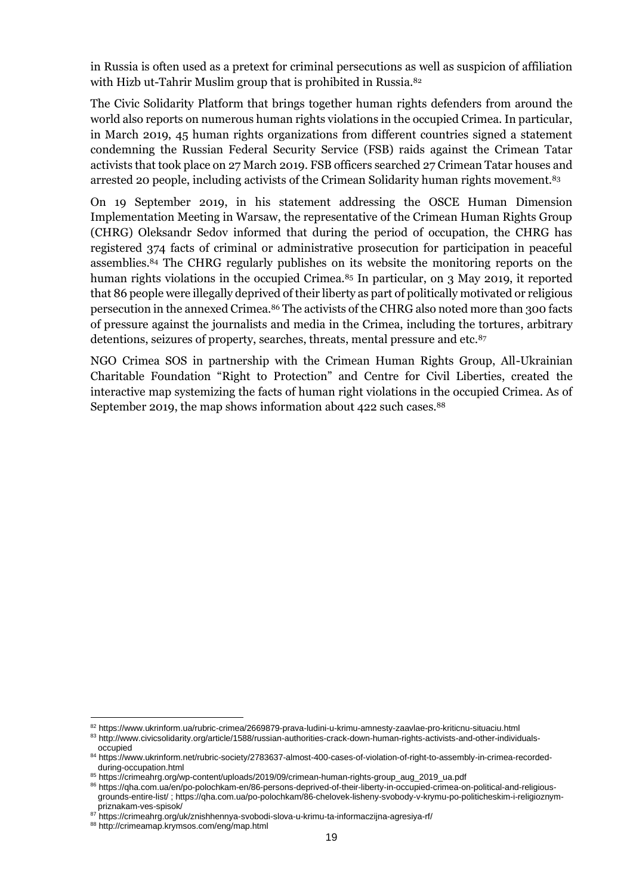in Russia is often used as a pretext for criminal persecutions as well as suspicion of affiliation with Hizb ut-Tahrir Muslim group that is prohibited in Russia.<sup>82</sup>

The Civic Solidarity Platform that brings together human rights defenders from around the world also reports on numerous human rights violations in the occupied Crimea. In particular, in March 2019, 45 human rights organizations from different countries signed a statement condemning the Russian Federal Security Service (FSB) raids against the Crimean Tatar activists that took place on 27 March 2019. FSB officers searched 27 Crimean Tatar houses and arrested 20 people, including activists of the Crimean Solidarity human rights movement.<sup>83</sup>

On 19 September 2019, in his statement addressing the OSCE Human Dimension Implementation Meeting in Warsaw, the representative of the Crimean Human Rights Group (CHRG) Oleksandr Sedov informed that during the period of occupation, the CHRG has registered 374 facts of criminal or administrative prosecution for participation in peaceful assemblies.<sup>84</sup> The CHRG regularly publishes on its website the monitoring reports on the human rights violations in the occupied Crimea.<sup>85</sup> In particular, on 3 May 2019, it reported that 86 people were illegally deprived of their liberty as part of politically motivated or religious persecution in the annexed Crimea.<sup>86</sup> The activists of the CHRG also noted more than 300 facts of pressure against the journalists and media in the Crimea, including the tortures, arbitrary detentions, seizures of property, searches, threats, mental pressure and etc.<sup>87</sup>

NGO Crimea SOS in partnership with the Crimean Human Rights Group, All-Ukrainian Charitable Foundation "Right to Protection" and Centre for Civil Liberties, created the interactive map systemizing the facts of human right violations in the occupied Crimea. As of September 2019, the map shows information about 422 such cases.<sup>88</sup>

<sup>82</sup> <https://www.ukrinform.ua/rubric-crimea/2669879-prava-ludini-u-krimu-amnesty-zaavlae-pro-kriticnu-situaciu.html>

<sup>83</sup> [http://www.civicsolidarity.org/article/1588/russian-authorities-crack-down-human-rights-activists-and-other-individuals-](http://www.civicsolidarity.org/article/1588/russian-authorities-crack-down-human-rights-activists-and-other-individuals-occupied)

[occupied](http://www.civicsolidarity.org/article/1588/russian-authorities-crack-down-human-rights-activists-and-other-individuals-occupied)

<sup>84</sup> [https://www.ukrinform.net/rubric-society/2783637-almost-400-cases-of-violation-of-right-to-assembly-in-crimea-recorded](https://www.ukrinform.net/rubric-society/2783637-almost-400-cases-of-violation-of-right-to-assembly-in-crimea-recorded-during-occupation.html)[during-occupation.html](https://www.ukrinform.net/rubric-society/2783637-almost-400-cases-of-violation-of-right-to-assembly-in-crimea-recorded-during-occupation.html)

<sup>85</sup> [https://crimeahrg.org/wp-content/uploads/2019/09/crimean-human-rights-group\\_aug\\_2019\\_ua.pdf](https://crimeahrg.org/wp-content/uploads/2019/09/crimean-human-rights-group_aug_2019_ua.pdf)

<sup>86</sup> [https://qha.com.ua/en/po-polochkam-en/86-persons-deprived-of-their-liberty-in-occupied-crimea-on-political-and-religious](https://qha.com.ua/en/po-polochkam-en/86-persons-deprived-of-their-liberty-in-occupied-crimea-on-political-and-religious-grounds-entire-list/)[grounds-entire-list/](https://qha.com.ua/en/po-polochkam-en/86-persons-deprived-of-their-liberty-in-occupied-crimea-on-political-and-religious-grounds-entire-list/) ; [https://qha.com.ua/po-polochkam/86-chelovek-lisheny-svobody-v-krymu-po-politicheskim-i-religioznym](https://qha.com.ua/po-polochkam/86-chelovek-lisheny-svobody-v-krymu-po-politicheskim-i-religioznym-priznakam-ves-spisok/)[priznakam-ves-spisok/](https://qha.com.ua/po-polochkam/86-chelovek-lisheny-svobody-v-krymu-po-politicheskim-i-religioznym-priznakam-ves-spisok/)

<sup>87</sup> <https://crimeahrg.org/uk/znishhennya-svobodi-slova-u-krimu-ta-informaczijna-agresiya-rf/>

<sup>88</sup> <http://crimeamap.krymsos.com/eng/map.html>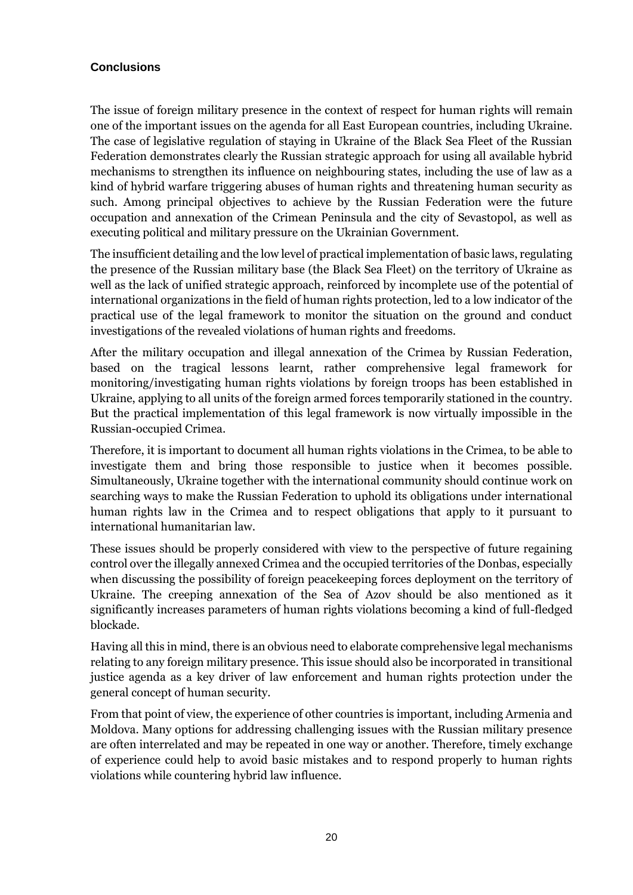## **Conclusions**

The issue of foreign military presence in the context of respect for human rights will remain one of the important issues on the agenda for all East European countries, including Ukraine. The case of legislative regulation of staying in Ukraine of the Black Sea Fleet of the Russian Federation demonstrates clearly the Russian strategic approach for using all available hybrid mechanisms to strengthen its influence on neighbouring states, including the use of law as a kind of hybrid warfare triggering abuses of human rights and threatening human security as such. Among principal objectives to achieve by the Russian Federation were the future occupation and annexation of the Crimean Peninsula and the city of Sevastopol, as well as executing political and military pressure on the Ukrainian Government.

The insufficient detailing and the low level of practical implementation of basic laws, regulating the presence of the Russian military base (the Black Sea Fleet) on the territory of Ukraine as well as the lack of unified strategic approach, reinforced by incomplete use of the potential of international organizations in the field of human rights protection, led to a low indicator of the practical use of the legal framework to monitor the situation on the ground and conduct investigations of the revealed violations of human rights and freedoms.

After the military occupation and illegal annexation of the Crimea by Russian Federation, based on the tragical lessons learnt, rather comprehensive legal framework for monitoring/investigating human rights violations by foreign troops has been established in Ukraine, applying to all units of the foreign armed forces temporarily stationed in the country. But the practical implementation of this legal framework is now virtually impossible in the Russian-occupied Crimea.

Therefore, it is important to document all human rights violations in the Crimea, to be able to investigate them and bring those responsible to justice when it becomes possible. Simultaneously, Ukraine together with the international community should continue work on searching ways to make the Russian Federation to uphold its obligations under international human rights law in the Crimea and to respect obligations that apply to it pursuant to international humanitarian law.

These issues should be properly considered with view to the perspective of future regaining control over the illegally annexed Crimea and the occupied territories of the Donbas, especially when discussing the possibility of foreign peacekeeping forces deployment on the territory of Ukraine. The creeping annexation of the Sea of Azov should be also mentioned as it significantly increases parameters of human rights violations becoming a kind of full-fledged blockade.

Having all this in mind, there is an obvious need to elaborate comprehensive legal mechanisms relating to any foreign military presence. This issue should also be incorporated in transitional justice agenda as a key driver of law enforcement and human rights protection under the general concept of human security.

From that point of view, the experience of other countries is important, including Armenia and Moldova. Many options for addressing challenging issues with the Russian military presence are often interrelated and may be repeated in one way or another. Therefore, timely exchange of experience could help to avoid basic mistakes and to respond properly to human rights violations while countering hybrid law influence.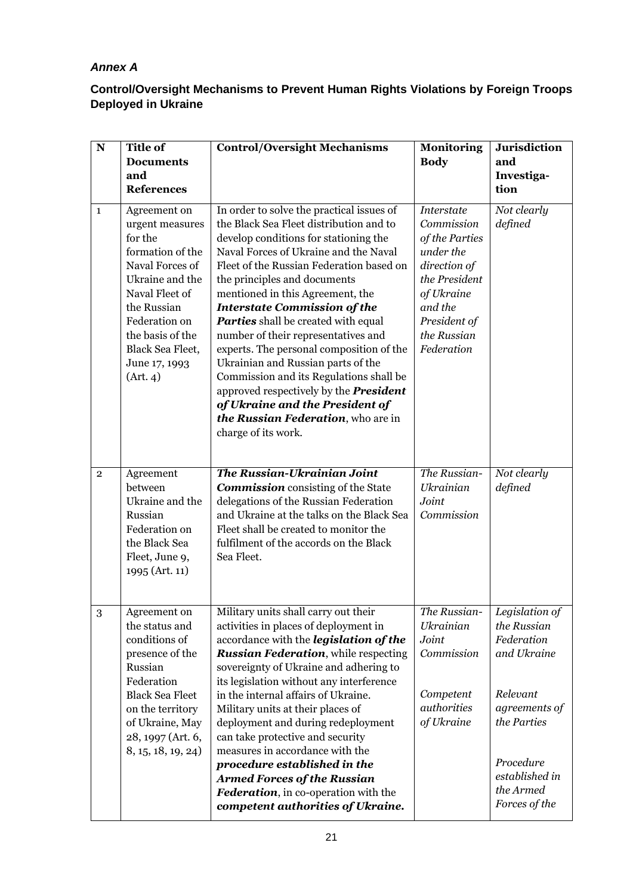# *Annex A*

## **Control/Oversight Mechanisms to Prevent Human Rights Violations by Foreign Troops Deployed in Ukraine**

| ${\bf N}$      | <b>Title of</b>                                                                                                                                                                                                             | <b>Control/Oversight Mechanisms</b>                                                                                                                                                                                                                                                                                                                                                                                                                                                                                                                                                                                                                                                              | <b>Monitoring</b>                                                                                                                                                     | <b>Jurisdiction</b>                                                                                                                                                 |
|----------------|-----------------------------------------------------------------------------------------------------------------------------------------------------------------------------------------------------------------------------|--------------------------------------------------------------------------------------------------------------------------------------------------------------------------------------------------------------------------------------------------------------------------------------------------------------------------------------------------------------------------------------------------------------------------------------------------------------------------------------------------------------------------------------------------------------------------------------------------------------------------------------------------------------------------------------------------|-----------------------------------------------------------------------------------------------------------------------------------------------------------------------|---------------------------------------------------------------------------------------------------------------------------------------------------------------------|
|                | <b>Documents</b>                                                                                                                                                                                                            |                                                                                                                                                                                                                                                                                                                                                                                                                                                                                                                                                                                                                                                                                                  | <b>Body</b>                                                                                                                                                           | and                                                                                                                                                                 |
|                | and<br><b>References</b>                                                                                                                                                                                                    |                                                                                                                                                                                                                                                                                                                                                                                                                                                                                                                                                                                                                                                                                                  |                                                                                                                                                                       | Investiga-<br>tion                                                                                                                                                  |
|                |                                                                                                                                                                                                                             |                                                                                                                                                                                                                                                                                                                                                                                                                                                                                                                                                                                                                                                                                                  |                                                                                                                                                                       |                                                                                                                                                                     |
| $\mathbf{1}$   | Agreement on<br>urgent measures<br>for the<br>formation of the<br>Naval Forces of<br>Ukraine and the<br>Naval Fleet of<br>the Russian<br>Federation on<br>the basis of the<br>Black Sea Fleet,<br>June 17, 1993<br>(Art. 4) | In order to solve the practical issues of<br>the Black Sea Fleet distribution and to<br>develop conditions for stationing the<br>Naval Forces of Ukraine and the Naval<br>Fleet of the Russian Federation based on<br>the principles and documents<br>mentioned in this Agreement, the<br><b>Interstate Commission of the</b><br><b>Parties</b> shall be created with equal<br>number of their representatives and<br>experts. The personal composition of the<br>Ukrainian and Russian parts of the<br>Commission and its Regulations shall be<br>approved respectively by the <b>President</b><br>of Ukraine and the President of<br>the Russian Federation, who are in<br>charge of its work. | <b>Interstate</b><br>Commission<br>of the Parties<br>under the<br>direction of<br>the President<br>of Ukraine<br>and the<br>President of<br>the Russian<br>Federation | Not clearly<br>defined                                                                                                                                              |
| $\overline{2}$ | Agreement<br>between<br>Ukraine and the<br>Russian<br>Federation on<br>the Black Sea<br>Fleet, June 9,<br>1995 (Art. 11)                                                                                                    | The Russian-Ukrainian Joint<br><b>Commission</b> consisting of the State<br>delegations of the Russian Federation<br>and Ukraine at the talks on the Black Sea<br>Fleet shall be created to monitor the<br>fulfilment of the accords on the Black<br>Sea Fleet.                                                                                                                                                                                                                                                                                                                                                                                                                                  | The Russian-<br><b>Ukrainian</b><br>Joint<br>Commission                                                                                                               | Not clearly<br>defined                                                                                                                                              |
| $\,3$          | Agreement on<br>the status and<br>conditions of<br>presence of the<br>Russian<br>Federation<br><b>Black Sea Fleet</b><br>on the territory<br>of Ukraine, May<br>28, 1997 (Art. 6,<br>8, 15, 18, 19, 24)                     | Military units shall carry out their<br>activities in places of deployment in<br>accordance with the <i>legislation</i> of the<br><b>Russian Federation</b> , while respecting<br>sovereignty of Ukraine and adhering to<br>its legislation without any interference<br>in the internal affairs of Ukraine.<br>Military units at their places of<br>deployment and during redeployment<br>can take protective and security<br>measures in accordance with the<br>procedure established in the<br><b>Armed Forces of the Russian</b><br>Federation, in co-operation with the<br>competent authorities of Ukraine.                                                                                 | The Russian-<br><b>Ukrainian</b><br>Joint<br>Commission<br>Competent<br>authorities<br>of Ukraine                                                                     | Legislation of<br>the Russian<br>Federation<br>and Ukraine<br>Relevant<br>agreements of<br>the Parties<br>Procedure<br>established in<br>the Armed<br>Forces of the |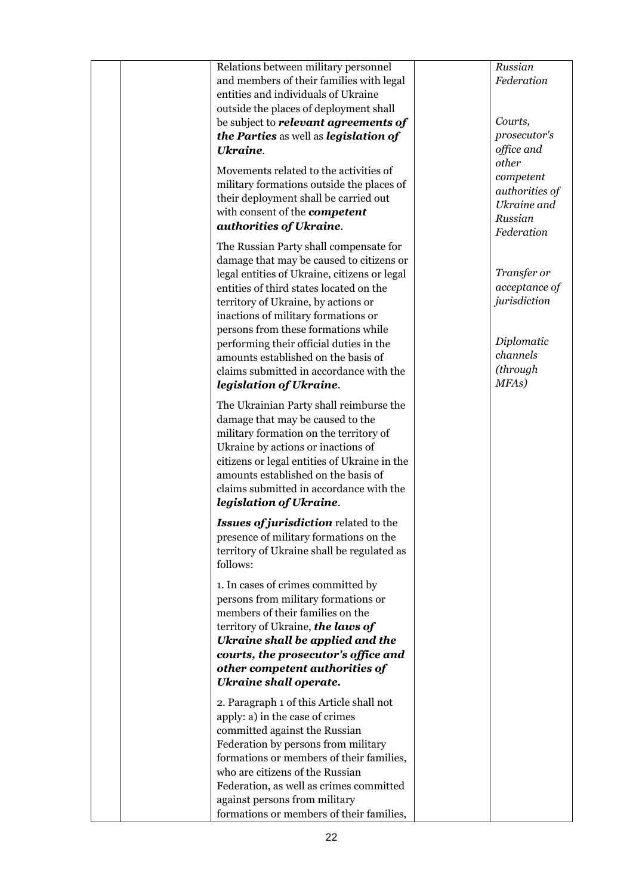| Relations between military personnel<br>and members of their families with legal<br>entities and individuals of Ukraine<br>outside the places of deployment shall<br>be subject to <i>relevant</i> agreements of<br>the Parties as well as legislation of                                                                                                                                                                       | Russian<br>Federation<br>Courts,<br>prosecutor's                                           |
|---------------------------------------------------------------------------------------------------------------------------------------------------------------------------------------------------------------------------------------------------------------------------------------------------------------------------------------------------------------------------------------------------------------------------------|--------------------------------------------------------------------------------------------|
| <b>Ukraine.</b><br>Movements related to the activities of<br>military formations outside the places of<br>their deployment shall be carried out<br>with consent of the <b>competent</b><br>authorities of Ukraine.                                                                                                                                                                                                              | office and<br>other<br>competent<br>authorities of<br>Ukraine and<br>Russian<br>Federation |
| The Russian Party shall compensate for<br>damage that may be caused to citizens or<br>legal entities of Ukraine, citizens or legal<br>entities of third states located on the<br>territory of Ukraine, by actions or<br>inactions of military formations or<br>persons from these formations while<br>performing their official duties in the<br>amounts established on the basis of<br>claims submitted in accordance with the | Transfer or<br>acceptance of<br>jurisdiction<br>Diplomatic<br>channels<br>(through         |
| legislation of Ukraine.                                                                                                                                                                                                                                                                                                                                                                                                         | MFA <sub>s</sub> )                                                                         |
| The Ukrainian Party shall reimburse the<br>damage that may be caused to the<br>military formation on the territory of<br>Ukraine by actions or inactions of<br>citizens or legal entities of Ukraine in the<br>amounts established on the basis of<br>claims submitted in accordance with the<br>legislation of Ukraine.                                                                                                        |                                                                                            |
| <b>Issues of jurisdiction related to the</b><br>presence of military formations on the<br>territory of Ukraine shall be regulated as<br>follows:                                                                                                                                                                                                                                                                                |                                                                                            |
| 1. In cases of crimes committed by<br>persons from military formations or<br>members of their families on the<br>territory of Ukraine, the laws of<br>Ukraine shall be applied and the<br>courts, the prosecutor's office and<br>other competent authorities of<br><b>Ukraine shall operate.</b>                                                                                                                                |                                                                                            |
| 2. Paragraph 1 of this Article shall not<br>apply: a) in the case of crimes<br>committed against the Russian<br>Federation by persons from military<br>formations or members of their families,<br>who are citizens of the Russian<br>Federation, as well as crimes committed<br>against persons from military<br>formations or members of their families,                                                                      |                                                                                            |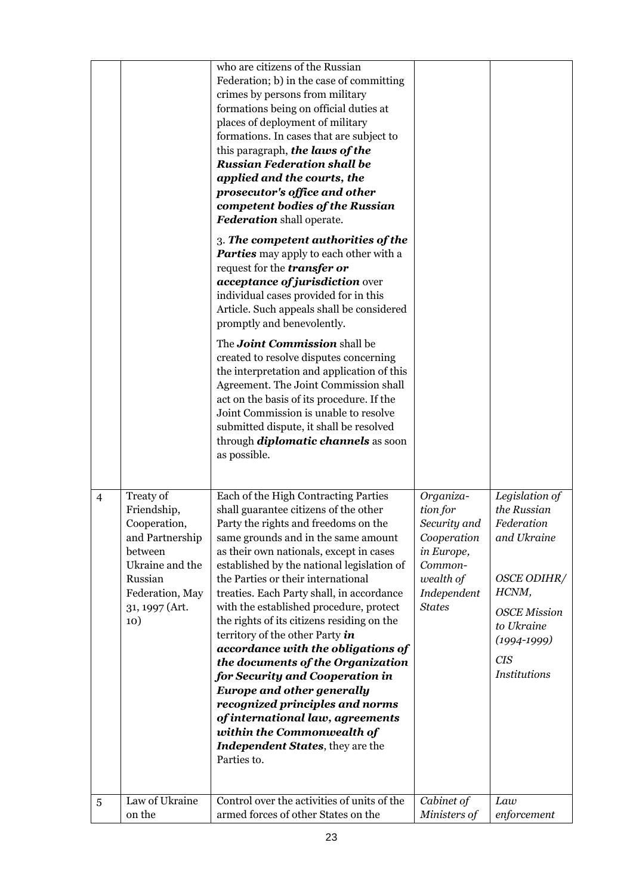|                |                                                                                                                                                  | who are citizens of the Russian<br>Federation; b) in the case of committing<br>crimes by persons from military<br>formations being on official duties at<br>places of deployment of military<br>formations. In cases that are subject to<br>this paragraph, the laws of the<br><b>Russian Federation shall be</b><br>applied and the courts, the<br>prosecutor's office and other<br>competent bodies of the Russian<br><b>Federation</b> shall operate.<br>3. The competent authorities of the<br><b>Parties</b> may apply to each other with a<br>request for the <i>transfer</i> or<br>acceptance of jurisdiction over<br>individual cases provided for in this<br>Article. Such appeals shall be considered<br>promptly and benevolently.<br>The <b>Joint Commission</b> shall be<br>created to resolve disputes concerning<br>the interpretation and application of this<br>Agreement. The Joint Commission shall<br>act on the basis of its procedure. If the<br>Joint Commission is unable to resolve<br>submitted dispute, it shall be resolved<br>through <i>diplomatic channels</i> as soon<br>as possible. |                                                                                                                            |                                                                                                                                                                          |
|----------------|--------------------------------------------------------------------------------------------------------------------------------------------------|-----------------------------------------------------------------------------------------------------------------------------------------------------------------------------------------------------------------------------------------------------------------------------------------------------------------------------------------------------------------------------------------------------------------------------------------------------------------------------------------------------------------------------------------------------------------------------------------------------------------------------------------------------------------------------------------------------------------------------------------------------------------------------------------------------------------------------------------------------------------------------------------------------------------------------------------------------------------------------------------------------------------------------------------------------------------------------------------------------------------------|----------------------------------------------------------------------------------------------------------------------------|--------------------------------------------------------------------------------------------------------------------------------------------------------------------------|
| $\overline{4}$ | Treaty of<br>Friendship,<br>Cooperation,<br>and Partnership<br>between<br>Ukraine and the<br>Russian<br>Federation, May<br>31, 1997 (Art.<br>10) | Each of the High Contracting Parties<br>shall guarantee citizens of the other<br>Party the rights and freedoms on the<br>same grounds and in the same amount<br>as their own nationals, except in cases<br>established by the national legislation of<br>the Parties or their international<br>treaties. Each Party shall, in accordance<br>with the established procedure, protect<br>the rights of its citizens residing on the<br>territory of the other Party in<br>accordance with the obligations of<br>the documents of the Organization<br>for Security and Cooperation in<br><b>Europe and other generally</b><br>recognized principles and norms<br>of international law, agreements<br>within the Commonwealth of<br><b>Independent States</b> , they are the<br>Parties to.                                                                                                                                                                                                                                                                                                                               | Organiza-<br>tion for<br>Security and<br>Cooperation<br>in Europe,<br>Common-<br>wealth of<br>Independent<br><b>States</b> | Legislation of<br>the Russian<br>Federation<br>and Ukraine<br>OSCE ODIHR/<br>HCNM,<br><b>OSCE</b> Mission<br>to Ukraine<br>$(1994 - 1999)$<br><b>CIS</b><br>Institutions |
| $\overline{5}$ | Law of Ukraine<br>on the                                                                                                                         | Control over the activities of units of the<br>armed forces of other States on the                                                                                                                                                                                                                                                                                                                                                                                                                                                                                                                                                                                                                                                                                                                                                                                                                                                                                                                                                                                                                                    | Cabinet of<br>Ministers of                                                                                                 | Law<br>enforcement                                                                                                                                                       |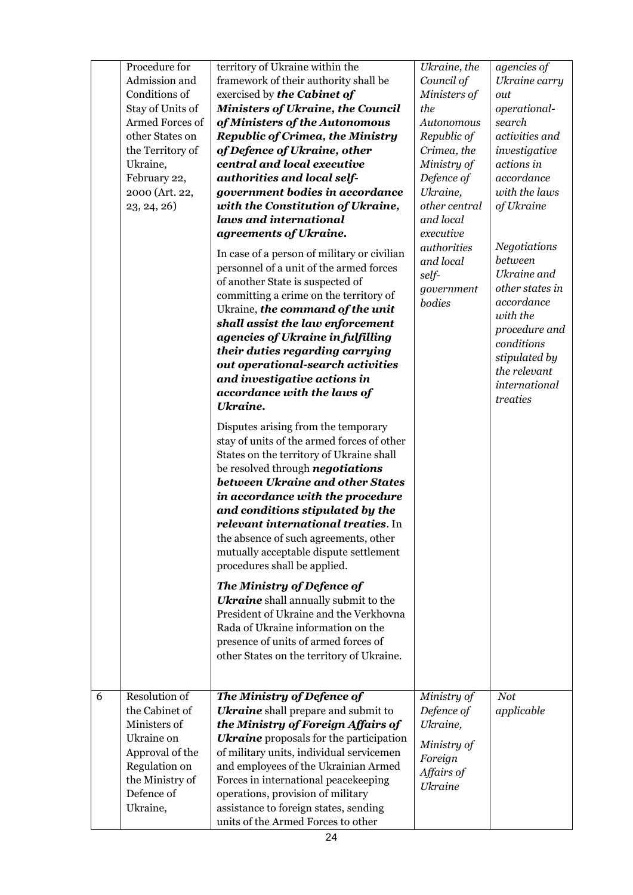|   | Procedure for                  | territory of Ukraine within the                                                                                                                                                                                                                                                                                                                                                                                                                                                                                                                                                                                                                                                                                                                                                                                                                                                                                                                                                                                      | Ukraine, the                                              | agencies of                                                                                                                                                                             |
|---|--------------------------------|----------------------------------------------------------------------------------------------------------------------------------------------------------------------------------------------------------------------------------------------------------------------------------------------------------------------------------------------------------------------------------------------------------------------------------------------------------------------------------------------------------------------------------------------------------------------------------------------------------------------------------------------------------------------------------------------------------------------------------------------------------------------------------------------------------------------------------------------------------------------------------------------------------------------------------------------------------------------------------------------------------------------|-----------------------------------------------------------|-----------------------------------------------------------------------------------------------------------------------------------------------------------------------------------------|
|   | Admission and                  | framework of their authority shall be                                                                                                                                                                                                                                                                                                                                                                                                                                                                                                                                                                                                                                                                                                                                                                                                                                                                                                                                                                                | Council of                                                | Ukraine carry                                                                                                                                                                           |
|   | Conditions of                  | exercised by the Cabinet of                                                                                                                                                                                                                                                                                                                                                                                                                                                                                                                                                                                                                                                                                                                                                                                                                                                                                                                                                                                          | Ministers of                                              | out                                                                                                                                                                                     |
|   | Stay of Units of               | <b>Ministers of Ukraine, the Council</b>                                                                                                                                                                                                                                                                                                                                                                                                                                                                                                                                                                                                                                                                                                                                                                                                                                                                                                                                                                             | the                                                       | operational-                                                                                                                                                                            |
|   | Armed Forces of                | of Ministers of the Autonomous                                                                                                                                                                                                                                                                                                                                                                                                                                                                                                                                                                                                                                                                                                                                                                                                                                                                                                                                                                                       | Autonomous                                                | search                                                                                                                                                                                  |
|   | other States on                | <b>Republic of Crimea, the Ministry</b>                                                                                                                                                                                                                                                                                                                                                                                                                                                                                                                                                                                                                                                                                                                                                                                                                                                                                                                                                                              | Republic of                                               | activities and                                                                                                                                                                          |
|   | the Territory of               | of Defence of Ukraine, other                                                                                                                                                                                                                                                                                                                                                                                                                                                                                                                                                                                                                                                                                                                                                                                                                                                                                                                                                                                         | Crimea, the                                               | investigative                                                                                                                                                                           |
|   | Ukraine,                       | central and local executive                                                                                                                                                                                                                                                                                                                                                                                                                                                                                                                                                                                                                                                                                                                                                                                                                                                                                                                                                                                          | Ministry of                                               | actions in                                                                                                                                                                              |
|   | February 22,                   | authorities and local self-                                                                                                                                                                                                                                                                                                                                                                                                                                                                                                                                                                                                                                                                                                                                                                                                                                                                                                                                                                                          | Defence of                                                | accordance                                                                                                                                                                              |
|   | 2000 (Art. 22,                 | government bodies in accordance                                                                                                                                                                                                                                                                                                                                                                                                                                                                                                                                                                                                                                                                                                                                                                                                                                                                                                                                                                                      | Ukraine,                                                  | with the laws                                                                                                                                                                           |
|   | 23, 24, 26                     | with the Constitution of Ukraine,                                                                                                                                                                                                                                                                                                                                                                                                                                                                                                                                                                                                                                                                                                                                                                                                                                                                                                                                                                                    | other central                                             | of Ukraine                                                                                                                                                                              |
|   |                                | laws and international                                                                                                                                                                                                                                                                                                                                                                                                                                                                                                                                                                                                                                                                                                                                                                                                                                                                                                                                                                                               | and local                                                 |                                                                                                                                                                                         |
|   |                                | agreements of Ukraine.                                                                                                                                                                                                                                                                                                                                                                                                                                                                                                                                                                                                                                                                                                                                                                                                                                                                                                                                                                                               | executive                                                 |                                                                                                                                                                                         |
|   |                                | In case of a person of military or civilian<br>personnel of a unit of the armed forces<br>of another State is suspected of<br>committing a crime on the territory of<br>Ukraine, the command of the unit<br>shall assist the law enforcement<br>agencies of Ukraine in fulfilling<br>their duties regarding carrying<br>out operational-search activities<br>and investigative actions in<br>accordance with the laws of<br><b>Ukraine.</b><br>Disputes arising from the temporary<br>stay of units of the armed forces of other<br>States on the territory of Ukraine shall<br>be resolved through <i>negotiations</i><br>between Ukraine and other States<br>in accordance with the procedure<br>and conditions stipulated by the<br>relevant international treaties. In<br>the absence of such agreements, other<br>mutually acceptable dispute settlement<br>procedures shall be applied.<br>The Ministry of Defence of<br><b>Ukraine</b> shall annually submit to the<br>President of Ukraine and the Verkhovna | authorities<br>and local<br>self-<br>government<br>bodies | <b>Negotiations</b><br>between<br>Ukraine and<br>other states in<br>accordance<br>with the<br>procedure and<br>conditions<br>stipulated by<br>the relevant<br>international<br>treaties |
|   |                                | Rada of Ukraine information on the<br>presence of units of armed forces of<br>other States on the territory of Ukraine.                                                                                                                                                                                                                                                                                                                                                                                                                                                                                                                                                                                                                                                                                                                                                                                                                                                                                              |                                                           |                                                                                                                                                                                         |
|   |                                |                                                                                                                                                                                                                                                                                                                                                                                                                                                                                                                                                                                                                                                                                                                                                                                                                                                                                                                                                                                                                      |                                                           |                                                                                                                                                                                         |
| 6 | Resolution of                  | The Ministry of Defence of                                                                                                                                                                                                                                                                                                                                                                                                                                                                                                                                                                                                                                                                                                                                                                                                                                                                                                                                                                                           | Ministry of                                               | <b>Not</b>                                                                                                                                                                              |
|   | the Cabinet of<br>Ministers of | <b>Ukraine</b> shall prepare and submit to                                                                                                                                                                                                                                                                                                                                                                                                                                                                                                                                                                                                                                                                                                                                                                                                                                                                                                                                                                           | Defence of                                                | applicable                                                                                                                                                                              |
|   | Ukraine on                     | the Ministry of Foreign Affairs of                                                                                                                                                                                                                                                                                                                                                                                                                                                                                                                                                                                                                                                                                                                                                                                                                                                                                                                                                                                   | Ukraine,                                                  |                                                                                                                                                                                         |
|   |                                | <b>Ukraine</b> proposals for the participation                                                                                                                                                                                                                                                                                                                                                                                                                                                                                                                                                                                                                                                                                                                                                                                                                                                                                                                                                                       | Ministry of                                               |                                                                                                                                                                                         |
|   | Approval of the                | of military units, individual servicemen                                                                                                                                                                                                                                                                                                                                                                                                                                                                                                                                                                                                                                                                                                                                                                                                                                                                                                                                                                             | Foreign                                                   |                                                                                                                                                                                         |
|   | Regulation on                  | and employees of the Ukrainian Armed                                                                                                                                                                                                                                                                                                                                                                                                                                                                                                                                                                                                                                                                                                                                                                                                                                                                                                                                                                                 | Affairs of                                                |                                                                                                                                                                                         |
|   | the Ministry of                | Forces in international peacekeeping                                                                                                                                                                                                                                                                                                                                                                                                                                                                                                                                                                                                                                                                                                                                                                                                                                                                                                                                                                                 | <b>Ukraine</b>                                            |                                                                                                                                                                                         |
|   | Defence of                     | operations, provision of military                                                                                                                                                                                                                                                                                                                                                                                                                                                                                                                                                                                                                                                                                                                                                                                                                                                                                                                                                                                    |                                                           |                                                                                                                                                                                         |
|   | Ukraine,                       | assistance to foreign states, sending<br>units of the Armed Forces to other                                                                                                                                                                                                                                                                                                                                                                                                                                                                                                                                                                                                                                                                                                                                                                                                                                                                                                                                          |                                                           |                                                                                                                                                                                         |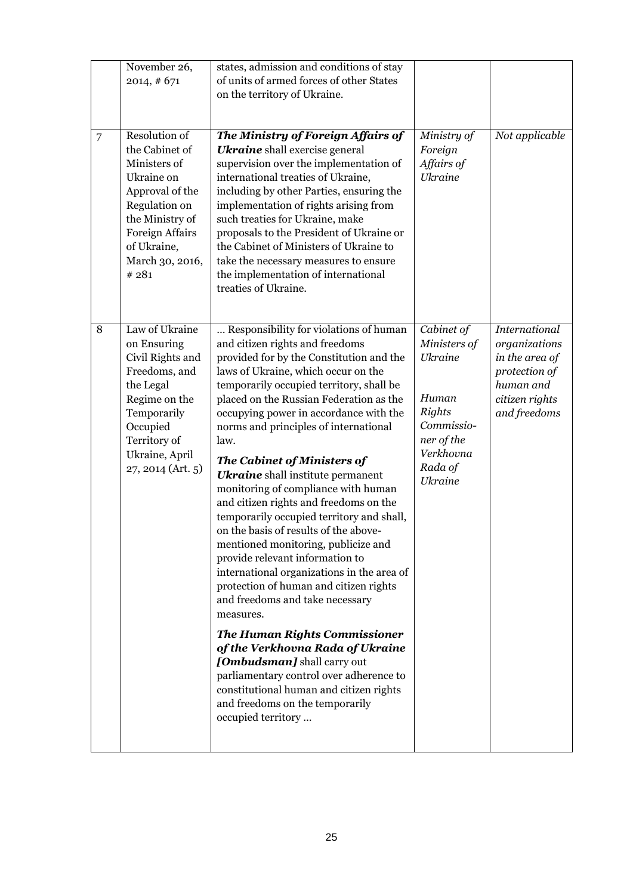|                | November 26,<br>2014, #671                                                                                                                                                               | states, admission and conditions of stay<br>of units of armed forces of other States<br>on the territory of Ukraine.                                                                                                                                                                                                                                                                                                                                                                                                                                                                                                                                                                                                                                                                                                                                                                                                                                                                                                                                                         |                                                                                                                                              |                                                                                                                         |
|----------------|------------------------------------------------------------------------------------------------------------------------------------------------------------------------------------------|------------------------------------------------------------------------------------------------------------------------------------------------------------------------------------------------------------------------------------------------------------------------------------------------------------------------------------------------------------------------------------------------------------------------------------------------------------------------------------------------------------------------------------------------------------------------------------------------------------------------------------------------------------------------------------------------------------------------------------------------------------------------------------------------------------------------------------------------------------------------------------------------------------------------------------------------------------------------------------------------------------------------------------------------------------------------------|----------------------------------------------------------------------------------------------------------------------------------------------|-------------------------------------------------------------------------------------------------------------------------|
| $\overline{7}$ | Resolution of<br>the Cabinet of<br>Ministers of<br>Ukraine on<br>Approval of the<br>Regulation on<br>the Ministry of<br><b>Foreign Affairs</b><br>of Ukraine,<br>March 30, 2016,<br>#281 | The Ministry of Foreign Affairs of<br><b>Ukraine</b> shall exercise general<br>supervision over the implementation of<br>international treaties of Ukraine,<br>including by other Parties, ensuring the<br>implementation of rights arising from<br>such treaties for Ukraine, make<br>proposals to the President of Ukraine or<br>the Cabinet of Ministers of Ukraine to<br>take the necessary measures to ensure<br>the implementation of international<br>treaties of Ukraine.                                                                                                                                                                                                                                                                                                                                                                                                                                                                                                                                                                                            | Ministry of<br>Foreign<br>Affairs of<br><b>Ukraine</b>                                                                                       | Not applicable                                                                                                          |
| 8              | Law of Ukraine<br>on Ensuring<br>Civil Rights and<br>Freedoms, and<br>the Legal<br>Regime on the<br>Temporarily<br>Occupied<br>Territory of<br>Ukraine, April<br>27, 2014 (Art. 5)       | Responsibility for violations of human<br>and citizen rights and freedoms<br>provided for by the Constitution and the<br>laws of Ukraine, which occur on the<br>temporarily occupied territory, shall be<br>placed on the Russian Federation as the<br>occupying power in accordance with the<br>norms and principles of international<br>law.<br>The Cabinet of Ministers of<br><b>Ukraine</b> shall institute permanent<br>monitoring of compliance with human<br>and citizen rights and freedoms on the<br>temporarily occupied territory and shall,<br>on the basis of results of the above-<br>mentioned monitoring, publicize and<br>provide relevant information to<br>international organizations in the area of<br>protection of human and citizen rights<br>and freedoms and take necessary<br>measures.<br><b>The Human Rights Commissioner</b><br>of the Verkhovna Rada of Ukraine<br>[Ombudsman] shall carry out<br>parliamentary control over adherence to<br>constitutional human and citizen rights<br>and freedoms on the temporarily<br>occupied territory | Cabinet of<br>Ministers of<br><b>Ukraine</b><br>Human<br><b>Rights</b><br>Commissio-<br>ner of the<br>Verkhovna<br>Rada of<br><b>Ukraine</b> | <b>International</b><br>organizations<br>in the area of<br>protection of<br>human and<br>citizen rights<br>and freedoms |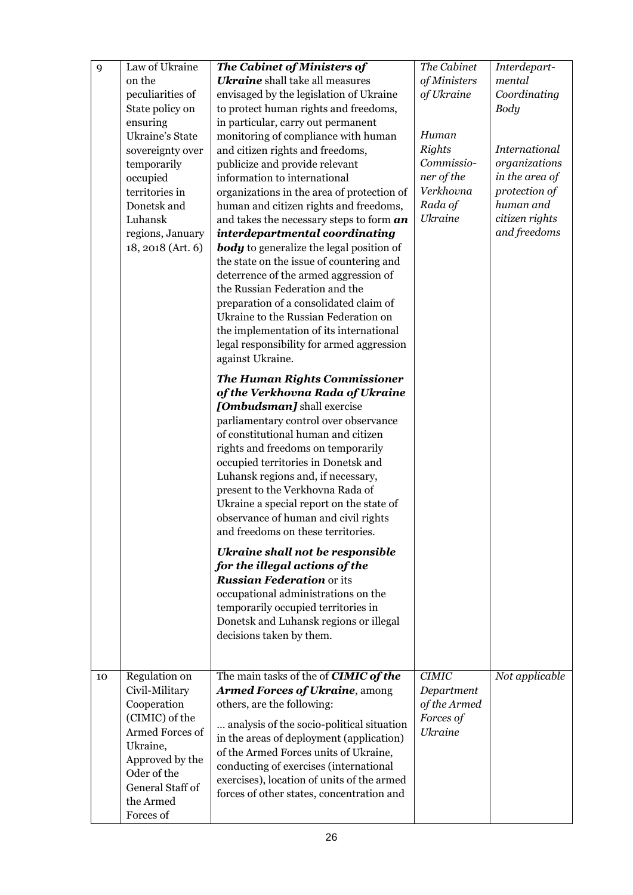| 9  | Law of Ukraine<br>on the                                                                                                                                                        | The Cabinet of Ministers of<br><b>Ukraine</b> shall take all measures                                                                                                                                                                                                                                                                                                                                                                                                                                                                                                                                                                                                                                     | The Cabinet<br>of Ministers                                                                  | Interdepart-<br>mental                                                                                           |
|----|---------------------------------------------------------------------------------------------------------------------------------------------------------------------------------|-----------------------------------------------------------------------------------------------------------------------------------------------------------------------------------------------------------------------------------------------------------------------------------------------------------------------------------------------------------------------------------------------------------------------------------------------------------------------------------------------------------------------------------------------------------------------------------------------------------------------------------------------------------------------------------------------------------|----------------------------------------------------------------------------------------------|------------------------------------------------------------------------------------------------------------------|
|    | peculiarities of<br>State policy on                                                                                                                                             | envisaged by the legislation of Ukraine<br>to protect human rights and freedoms,                                                                                                                                                                                                                                                                                                                                                                                                                                                                                                                                                                                                                          | of Ukraine                                                                                   | Coordinating<br><b>Body</b>                                                                                      |
|    | ensuring<br>Ukraine's State<br>sovereignty over<br>temporarily<br>occupied<br>territories in<br>Donetsk and<br>Luhansk<br>regions, January<br>18, 2018 (Art. 6)                 | in particular, carry out permanent<br>monitoring of compliance with human<br>and citizen rights and freedoms,<br>publicize and provide relevant<br>information to international<br>organizations in the area of protection of<br>human and citizen rights and freedoms,<br>and takes the necessary steps to form an<br>interdepartmental coordinating<br><b>body</b> to generalize the legal position of<br>the state on the issue of countering and<br>deterrence of the armed aggression of<br>the Russian Federation and the<br>preparation of a consolidated claim of<br>Ukraine to the Russian Federation on<br>the implementation of its international<br>legal responsibility for armed aggression | Human<br><b>Rights</b><br>Commissio-<br>ner of the<br>Verkhovna<br>Rada of<br><b>Ukraine</b> | International<br>organizations<br>in the area of<br>protection of<br>human and<br>citizen rights<br>and freedoms |
|    |                                                                                                                                                                                 | against Ukraine.<br><b>The Human Rights Commissioner</b><br>of the Verkhovna Rada of Ukraine<br>[Ombudsman] shall exercise<br>parliamentary control over observance<br>of constitutional human and citizen<br>rights and freedoms on temporarily<br>occupied territories in Donetsk and<br>Luhansk regions and, if necessary,<br>present to the Verkhovna Rada of<br>Ukraine a special report on the state of<br>observance of human and civil rights<br>and freedoms on these territories                                                                                                                                                                                                                |                                                                                              |                                                                                                                  |
|    |                                                                                                                                                                                 | Ukraine shall not be responsible<br>for the illegal actions of the<br><b>Russian Federation or its</b><br>occupational administrations on the<br>temporarily occupied territories in<br>Donetsk and Luhansk regions or illegal<br>decisions taken by them.                                                                                                                                                                                                                                                                                                                                                                                                                                                |                                                                                              |                                                                                                                  |
| 10 | Regulation on<br>Civil-Military<br>Cooperation<br>(CIMIC) of the<br>Armed Forces of<br>Ukraine,<br>Approved by the<br>Oder of the<br>General Staff of<br>the Armed<br>Forces of | The main tasks of the of <b>CIMIC</b> of the<br><b>Armed Forces of Ukraine, among</b><br>others, are the following:<br>analysis of the socio-political situation<br>in the areas of deployment (application)<br>of the Armed Forces units of Ukraine,<br>conducting of exercises (international<br>exercises), location of units of the armed<br>forces of other states, concentration and                                                                                                                                                                                                                                                                                                                | <b>CIMIC</b><br>Department<br>of the Armed<br>Forces of<br><b>Ukraine</b>                    | Not applicable                                                                                                   |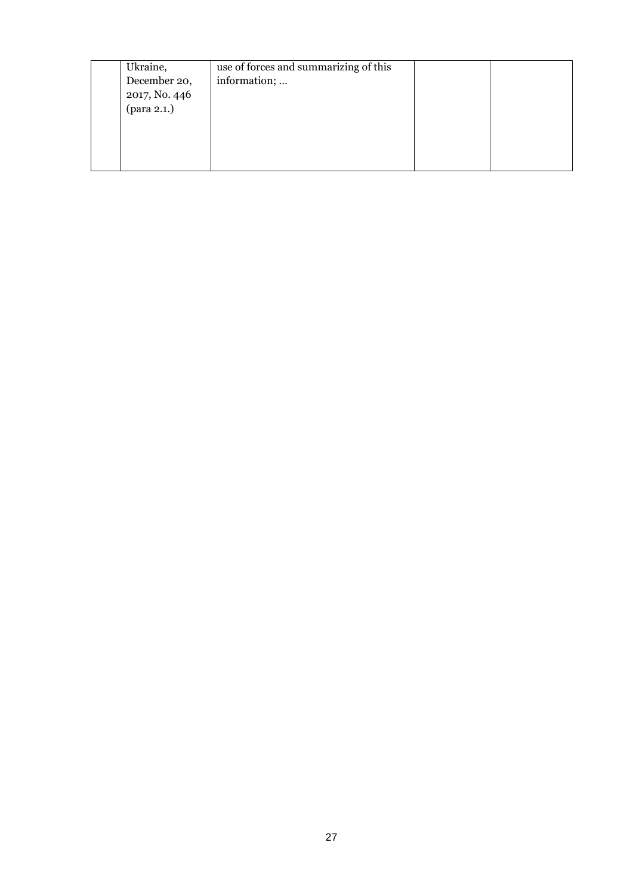| Ukraine,      | use of forces and summarizing of this |  |
|---------------|---------------------------------------|--|
| December 20,  | information;                          |  |
| 2017, No. 446 |                                       |  |
|               |                                       |  |
|               |                                       |  |
|               |                                       |  |
|               |                                       |  |
|               |                                       |  |